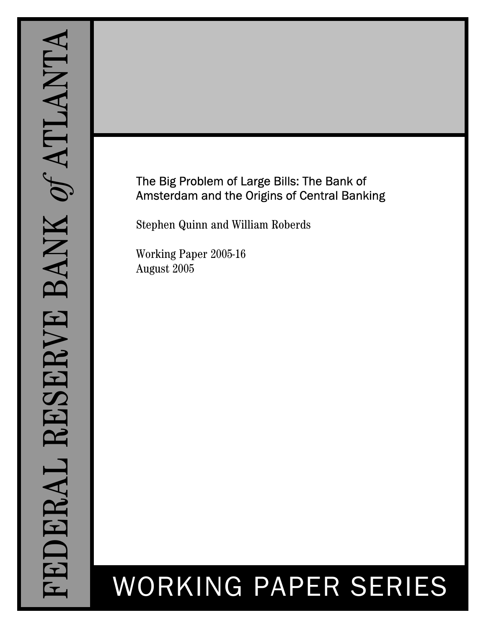# The Big Problem of Large Bills: The Bank of Amsterdam and the Origins of Central Banking

Stephen Quinn and William Roberds

Working Paper 2005-16 August 2005

# WORKING PAPER SERIES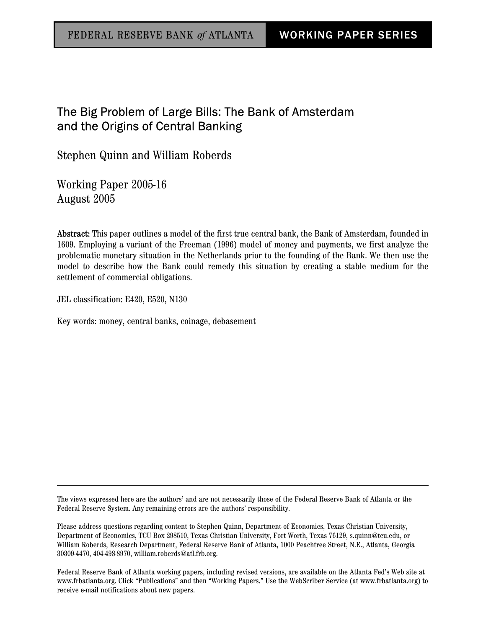# The Big Problem of Large Bills: The Bank of Amsterdam and the Origins of Central Banking

Stephen Quinn and William Roberds

Working Paper 2005-16 August 2005

Abstract: This paper outlines a model of the first true central bank, the Bank of Amsterdam, founded in 1609. Employing a variant of the Freeman (1996) model of money and payments, we first analyze the problematic monetary situation in the Netherlands prior to the founding of the Bank. We then use the model to describe how the Bank could remedy this situation by creating a stable medium for the settlement of commercial obligations.

JEL classification: E420, E520, N130

Key words: money, central banks, coinage, debasement

The views expressed here are the authors' and are not necessarily those of the Federal Reserve Bank of Atlanta or the Federal Reserve System. Any remaining errors are the authors' responsibility.

Please address questions regarding content to Stephen Quinn, Department of Economics, Texas Christian University, Department of Economics, TCU Box 298510, Texas Christian University, Fort Worth, Texas 76129, s.quinn@tcu.edu, or William Roberds, Research Department, Federal Reserve Bank of Atlanta, 1000 Peachtree Street, N.E., Atlanta, Georgia 30309-4470, 404-498-8970, william.roberds@atl.frb.org.

Federal Reserve Bank of Atlanta working papers, including revised versions, are available on the Atlanta Fed's Web site at www.frbatlanta.org. Click "Publications" and then "Working Papers." Use the WebScriber Service (at www.frbatlanta.org) to receive e-mail notifications about new papers.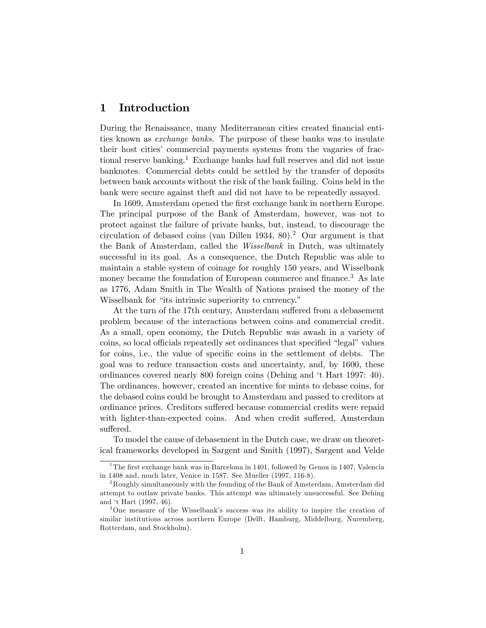# 1 Introduction

During the Renaissance, many Mediterranean cities created Önancial entities known as exchange banks. The purpose of these banks was to insulate their host cities' commercial payments systems from the vagaries of fractional reserve banking.<sup>1</sup> Exchange banks had full reserves and did not issue banknotes. Commercial debts could be settled by the transfer of deposits between bank accounts without the risk of the bank failing. Coins held in the bank were secure against theft and did not have to be repeatedly assayed.

In 1609, Amsterdam opened the first exchange bank in northern Europe. The principal purpose of the Bank of Amsterdam, however, was not to protect against the failure of private banks, but, instead, to discourage the circulation of debased coins (van Dillen 1934, 80).<sup>2</sup> Our argument is that the Bank of Amsterdam, called the *Wisselbank* in Dutch, was ultimately successful in its goal. As a consequence, the Dutch Republic was able to maintain a stable system of coinage for roughly 150 years, and Wisselbank money became the foundation of European commerce and finance.<sup>3</sup> As late as 1776, Adam Smith in The Wealth of Nations praised the money of the Wisselbank for "its intrinsic superiority to currency."

At the turn of the 17th century, Amsterdam suffered from a debasement problem because of the interactions between coins and commercial credit. As a small, open economy, the Dutch Republic was awash in a variety of coins, so local officials repeatedly set ordinances that specified "legal" values for coins, i.e., the value of specific coins in the settlement of debts. The goal was to reduce transaction costs and uncertainty, and, by 1600, these ordinances covered nearly 800 foreign coins (Dehing and ët Hart 1997: 40). The ordinances, however, created an incentive for mints to debase coins, for the debased coins could be brought to Amsterdam and passed to creditors at ordinance prices. Creditors suffered because commercial credits were repaid with lighter-than-expected coins. And when credit suffered, Amsterdam suffered.

To model the cause of debasement in the Dutch case, we draw on theoretical frameworks developed in Sargent and Smith (1997), Sargent and Velde

<sup>&</sup>lt;sup>1</sup>The first exchange bank was in Barcelona in 1401, followed by Genoa in 1407, Valencia in 1408 and, much later, Venice in 1587. See Mueller (1997, 116-8).

<sup>&</sup>lt;sup>2</sup>Roughly simultaneously with the founding of the Bank of Amsterdam, Amsterdam did attempt to outlaw private banks. This attempt was ultimately unsuccessful. See Dehing and ët Hart (1997, 46).

 $3$ One measure of the Wisselbank's success was its ability to inspire the creation of similar institutions across northern Europe (Delft, Hamburg, Middelburg, Nuremberg, Rotterdam, and Stockholm).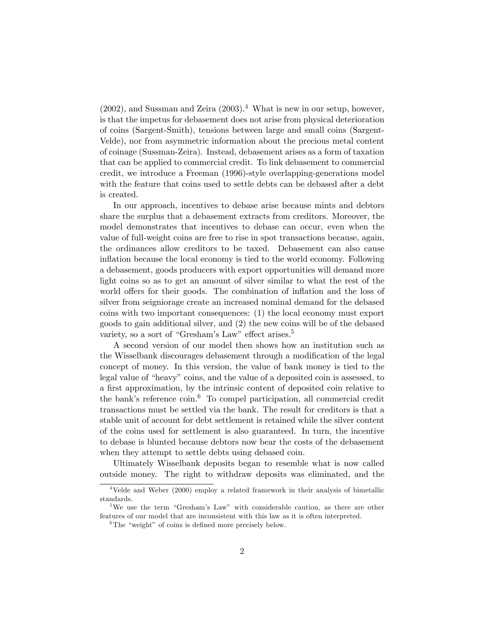$(2002)$ , and Sussman and Zeira  $(2003).<sup>4</sup>$  What is new in our setup, however, is that the impetus for debasement does not arise from physical deterioration of coins (Sargent-Smith), tensions between large and small coins (Sargent-Velde), nor from asymmetric information about the precious metal content of coinage (Sussman-Zeira). Instead, debasement arises as a form of taxation that can be applied to commercial credit. To link debasement to commercial credit, we introduce a Freeman (1996)-style overlapping-generations model with the feature that coins used to settle debts can be debased after a debt is created.

In our approach, incentives to debase arise because mints and debtors share the surplus that a debasement extracts from creditors. Moreover, the model demonstrates that incentives to debase can occur, even when the value of full-weight coins are free to rise in spot transactions because, again, the ordinances allow creditors to be taxed. Debasement can also cause inflation because the local economy is tied to the world economy. Following a debasement, goods producers with export opportunities will demand more light coins so as to get an amount of silver similar to what the rest of the world offers for their goods. The combination of inflation and the loss of silver from seigniorage create an increased nominal demand for the debased coins with two important consequences: (1) the local economy must export goods to gain additional silver, and (2) the new coins will be of the debased variety, so a sort of "Gresham's Law" effect arises.<sup>5</sup>

A second version of our model then shows how an institution such as the Wisselbank discourages debasement through a modification of the legal concept of money. In this version, the value of bank money is tied to the legal value of "heavy" coins, and the value of a deposited coin is assessed, to a first approximation, by the intrinsic content of deposited coin relative to the bank's reference coin.<sup>6</sup> To compel participation, all commercial credit transactions must be settled via the bank. The result for creditors is that a stable unit of account for debt settlement is retained while the silver content of the coins used for settlement is also guaranteed. In turn, the incentive to debase is blunted because debtors now bear the costs of the debasement when they attempt to settle debts using debased coin.

Ultimately Wisselbank deposits began to resemble what is now called outside money. The right to withdraw deposits was eliminated, and the

<sup>&</sup>lt;sup>4</sup>Velde and Weber (2000) employ a related framework in their analysis of bimetallic standards.

<sup>&</sup>lt;sup>5</sup>We use the term "Gresham's Law" with considerable caution, as there are other features of our model that are inconsistent with this law as it is often interpreted.

<sup>&</sup>lt;sup>6</sup>The "weight" of coins is defined more precisely below.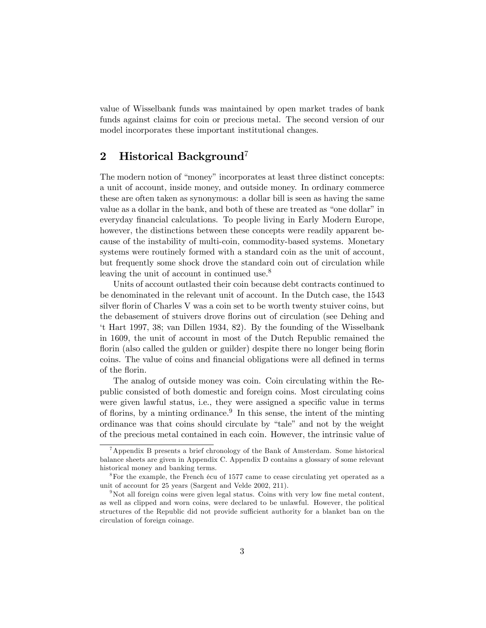value of Wisselbank funds was maintained by open market trades of bank funds against claims for coin or precious metal. The second version of our model incorporates these important institutional changes.

# 2 Historical Background<sup>7</sup>

The modern notion of "money" incorporates at least three distinct concepts: a unit of account, inside money, and outside money. In ordinary commerce these are often taken as synonymous: a dollar bill is seen as having the same value as a dollar in the bank, and both of these are treated as "one dollar" in everyday financial calculations. To people living in Early Modern Europe, however, the distinctions between these concepts were readily apparent because of the instability of multi-coin, commodity-based systems. Monetary systems were routinely formed with a standard coin as the unit of account, but frequently some shock drove the standard coin out of circulation while leaving the unit of account in continued use.<sup>8</sup>

Units of account outlasted their coin because debt contracts continued to be denominated in the relevant unit of account. In the Dutch case, the 1543 silver florin of Charles V was a coin set to be worth twenty stuiver coins, but the debasement of stuivers drove áorins out of circulation (see Dehing and ët Hart 1997, 38; van Dillen 1934, 82). By the founding of the Wisselbank in 1609, the unit of account in most of the Dutch Republic remained the florin (also called the guiden or guilder) despite there no longer being florin coins. The value of coins and financial obligations were all defined in terms of the florin.

The analog of outside money was coin. Coin circulating within the Republic consisted of both domestic and foreign coins. Most circulating coins were given lawful status, i.e., they were assigned a specific value in terms of florins, by a minting ordinance.<sup>9</sup> In this sense, the intent of the minting ordinance was that coins should circulate by "tale" and not by the weight of the precious metal contained in each coin. However, the intrinsic value of

<sup>&</sup>lt;sup>7</sup>Appendix B presents a brief chronology of the Bank of Amsterdam. Some historical balance sheets are given in Appendix C. Appendix D contains a glossary of some relevant historical money and banking terms.

<sup>&</sup>lt;sup>8</sup>For the example, the French écu of 1577 came to cease circulating yet operated as a unit of account for 25 years (Sargent and Velde 2002, 211).

 $9$ Not all foreign coins were given legal status. Coins with very low fine metal content, as well as clipped and worn coins, were declared to be unlawful. However, the political structures of the Republic did not provide sufficient authority for a blanket ban on the circulation of foreign coinage.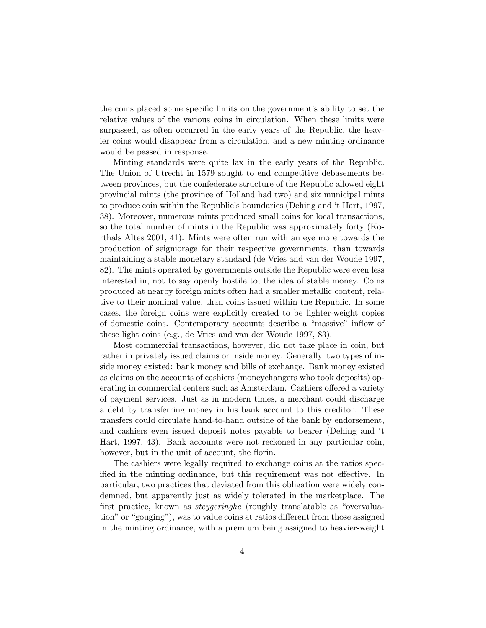the coins placed some specific limits on the government's ability to set the relative values of the various coins in circulation. When these limits were surpassed, as often occurred in the early years of the Republic, the heavier coins would disappear from a circulation, and a new minting ordinance would be passed in response.

Minting standards were quite lax in the early years of the Republic. The Union of Utrecht in 1579 sought to end competitive debasements between provinces, but the confederate structure of the Republic allowed eight provincial mints (the province of Holland had two) and six municipal mints to produce coin within the Republic's boundaries (Dehing and 't Hart, 1997, 38). Moreover, numerous mints produced small coins for local transactions, so the total number of mints in the Republic was approximately forty (Korthals Altes 2001, 41). Mints were often run with an eye more towards the production of seigniorage for their respective governments, than towards maintaining a stable monetary standard (de Vries and van der Woude 1997, 82). The mints operated by governments outside the Republic were even less interested in, not to say openly hostile to, the idea of stable money. Coins produced at nearby foreign mints often had a smaller metallic content, relative to their nominal value, than coins issued within the Republic. In some cases, the foreign coins were explicitly created to be lighter-weight copies of domestic coins. Contemporary accounts describe a "massive" inflow of these light coins (e.g., de Vries and van der Woude 1997, 83).

Most commercial transactions, however, did not take place in coin, but rather in privately issued claims or inside money. Generally, two types of inside money existed: bank money and bills of exchange. Bank money existed as claims on the accounts of cashiers (moneychangers who took deposits) operating in commercial centers such as Amsterdam. Cashiers offered a variety of payment services. Just as in modern times, a merchant could discharge a debt by transferring money in his bank account to this creditor. These transfers could circulate hand-to-hand outside of the bank by endorsement, and cashiers even issued deposit notes payable to bearer (Dehing and 't Hart, 1997, 43). Bank accounts were not reckoned in any particular coin, however, but in the unit of account, the florin.

The cashiers were legally required to exchange coins at the ratios specified in the minting ordinance, but this requirement was not effective. In particular, two practices that deviated from this obligation were widely condemned, but apparently just as widely tolerated in the marketplace. The first practice, known as *steygeringhe* (roughly translatable as "overvaluation" or "gouging"), was to value coins at ratios different from those assigned in the minting ordinance, with a premium being assigned to heavier-weight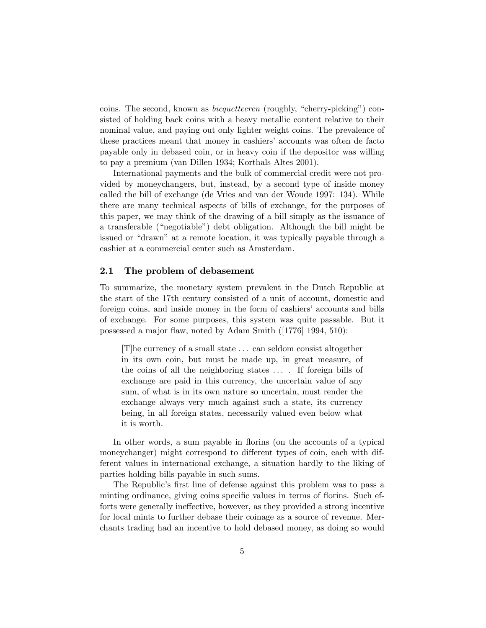coins. The second, known as *bicquetteeren* (roughly, "cherry-picking") consisted of holding back coins with a heavy metallic content relative to their nominal value, and paying out only lighter weight coins. The prevalence of these practices meant that money in cashiers' accounts was often de facto payable only in debased coin, or in heavy coin if the depositor was willing to pay a premium (van Dillen 1934; Korthals Altes 2001).

International payments and the bulk of commercial credit were not provided by moneychangers, but, instead, by a second type of inside money called the bill of exchange (de Vries and van der Woude 1997: 134). While there are many technical aspects of bills of exchange, for the purposes of this paper, we may think of the drawing of a bill simply as the issuance of a transferable ("negotiable") debt obligation. Although the bill might be issued or "drawn" at a remote location, it was typically payable through a cashier at a commercial center such as Amsterdam.

#### 2.1 The problem of debasement

To summarize, the monetary system prevalent in the Dutch Republic at the start of the 17th century consisted of a unit of account, domestic and foreign coins, and inside money in the form of cashiers' accounts and bills of exchange. For some purposes, this system was quite passable. But it possessed a major flaw, noted by Adam Smith ([1776] 1994, 510):

[T]he currency of a small state . . . can seldom consist altogether in its own coin, but must be made up, in great measure, of the coins of all the neighboring states . . . . If foreign bills of exchange are paid in this currency, the uncertain value of any sum, of what is in its own nature so uncertain, must render the exchange always very much against such a state, its currency being, in all foreign states, necessarily valued even below what it is worth.

In other words, a sum payable in florins (on the accounts of a typical moneychanger) might correspond to different types of coin, each with different values in international exchange, a situation hardly to the liking of parties holding bills payable in such sums.

The Republic's first line of defense against this problem was to pass a minting ordinance, giving coins specific values in terms of florins. Such efforts were generally ineffective, however, as they provided a strong incentive for local mints to further debase their coinage as a source of revenue. Merchants trading had an incentive to hold debased money, as doing so would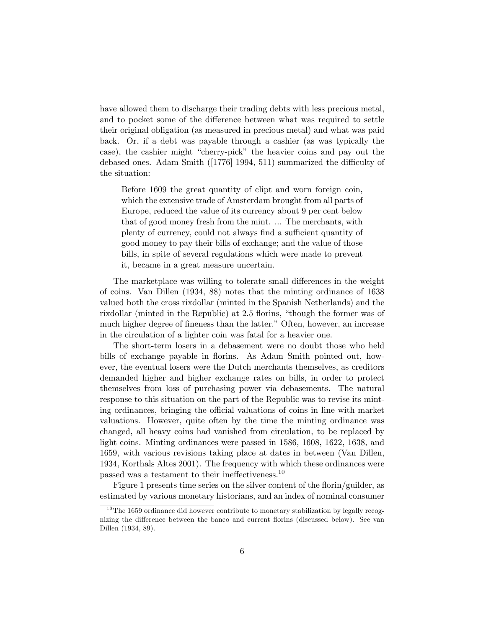have allowed them to discharge their trading debts with less precious metal, and to pocket some of the difference between what was required to settle their original obligation (as measured in precious metal) and what was paid back. Or, if a debt was payable through a cashier (as was typically the case), the cashier might "cherry-pick" the heavier coins and pay out the debased ones. Adam Smith  $(1776)$  1994, 511) summarized the difficulty of the situation:

Before 1609 the great quantity of clipt and worn foreign coin, which the extensive trade of Amsterdam brought from all parts of Europe, reduced the value of its currency about 9 per cent below that of good money fresh from the mint. ... The merchants, with plenty of currency, could not always find a sufficient quantity of good money to pay their bills of exchange; and the value of those bills, in spite of several regulations which were made to prevent it, became in a great measure uncertain.

The marketplace was willing to tolerate small differences in the weight of coins. Van Dillen (1934, 88) notes that the minting ordinance of 1638 valued both the cross rixdollar (minted in the Spanish Netherlands) and the rixdollar (minted in the Republic) at 2.5 florins, "though the former was of much higher degree of fineness than the latter." Often, however, an increase in the circulation of a lighter coin was fatal for a heavier one.

The short-term losers in a debasement were no doubt those who held bills of exchange payable in florins. As Adam Smith pointed out, however, the eventual losers were the Dutch merchants themselves, as creditors demanded higher and higher exchange rates on bills, in order to protect themselves from loss of purchasing power via debasements. The natural response to this situation on the part of the Republic was to revise its minting ordinances, bringing the official valuations of coins in line with market valuations. However, quite often by the time the minting ordinance was changed, all heavy coins had vanished from circulation, to be replaced by light coins. Minting ordinances were passed in 1586, 1608, 1622, 1638, and 1659, with various revisions taking place at dates in between (Van Dillen, 1934, Korthals Altes 2001). The frequency with which these ordinances were passed was a testament to their ineffectiveness.<sup>10</sup>

Figure 1 presents time series on the silver content of the florin/guilder, as estimated by various monetary historians, and an index of nominal consumer

 $10$ The 1659 ordinance did however contribute to monetary stabilization by legally recognizing the difference between the banco and current florins (discussed below). See van Dillen (1934, 89).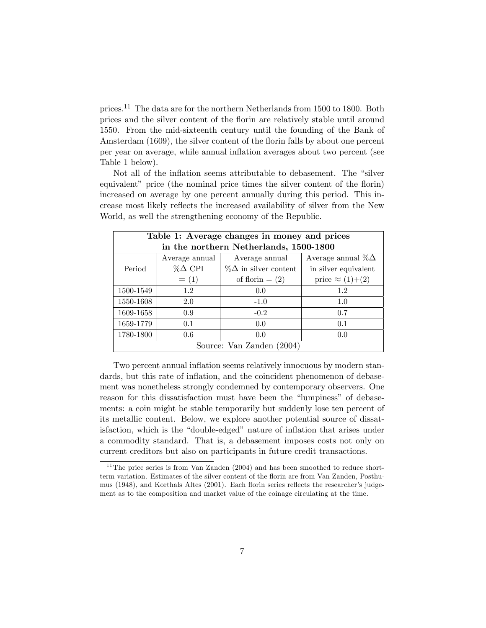prices.<sup>11</sup> The data are for the northern Netherlands from 1500 to 1800. Both prices and the silver content of the áorin are relatively stable until around 1550. From the mid-sixteenth century until the founding of the Bank of Amsterdam (1609), the silver content of the florin falls by about one percent per year on average, while annual ináation averages about two percent (see Table 1 below).

Not all of the inflation seems attributable to debasement. The "silver equivalent" price (the nominal price times the silver content of the florin) increased on average by one percent annually during this period. This increase most likely reflects the increased availability of silver from the New World, as well the strengthening economy of the Republic.

| Table 1: Average changes in money and prices |                                        |                              |                           |  |  |  |
|----------------------------------------------|----------------------------------------|------------------------------|---------------------------|--|--|--|
|                                              | in the northern Netherlands, 1500-1800 |                              |                           |  |  |  |
|                                              | Average annual                         | Average annual               | Average annual $\%\Delta$ |  |  |  |
| Period                                       | $% \triangle CPI$                      | $\%\Delta$ in silver content | in silver equivalent      |  |  |  |
|                                              | $= (1)$                                | of florin $=(2)$             | price $\approx (1)+(2)$   |  |  |  |
| 1500-1549                                    | 1.2                                    | 0.0                          | 1.2                       |  |  |  |
| 1550-1608                                    | 2.0                                    | $-1.0$                       | 1.0                       |  |  |  |
| 1609-1658                                    | 0.9                                    | $-0.2$                       | 0.7                       |  |  |  |
| 1659-1779                                    | 0.1                                    | 0.0                          | 0.1                       |  |  |  |
| 1780-1800                                    | 0.6                                    | 0.0                          | 0.0                       |  |  |  |
| Source: Van Zanden (2004)                    |                                        |                              |                           |  |  |  |

Two percent annual inflation seems relatively innocuous by modern standards, but this rate of inflation, and the coincident phenomenon of debasement was nonetheless strongly condemned by contemporary observers. One reason for this dissatisfaction must have been the "lumpiness" of debasements: a coin might be stable temporarily but suddenly lose ten percent of its metallic content. Below, we explore another potential source of dissatisfaction, which is the "double-edged" nature of inflation that arises under a commodity standard. That is, a debasement imposes costs not only on current creditors but also on participants in future credit transactions.

 $11$ <sup>The</sup> price series is from Van Zanden (2004) and has been smoothed to reduce shortterm variation. Estimates of the silver content of the áorin are from Van Zanden, Posthumus (1948), and Korthals Altes (2001). Each florin series reflects the researcher's judgement as to the composition and market value of the coinage circulating at the time.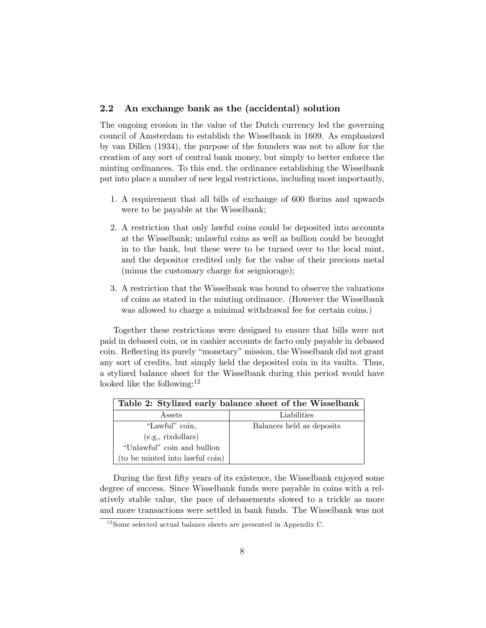#### 2.2 An exchange bank as the (accidental) solution

The ongoing erosion in the value of the Dutch currency led the governing council of Amsterdam to establish the Wisselbank in 1609. As emphasized by van Dillen (1934), the purpose of the founders was not to allow for the creation of any sort of central bank money, but simply to better enforce the minting ordinances. To this end, the ordinance establishing the Wisselbank put into place a number of new legal restrictions, including most importantly,

- 1. A requirement that all bills of exchange of 600 florins and upwards were to be payable at the Wisselbank;
- 2. A restriction that only lawful coins could be deposited into accounts at the Wisselbank; unlawful coins as well as bullion could be brought in to the bank, but these were to be turned over to the local mint, and the depositor credited only for the value of their precious metal (minus the customary charge for seigniorage);
- 3. A restriction that the Wisselbank was bound to observe the valuations of coins as stated in the minting ordinance. (However the Wisselbank was allowed to charge a minimal withdrawal fee for certain coins.)

Together these restrictions were designed to ensure that bills were not paid in debased coin, or in cashier accounts de facto only payable in debased coin. Reflecting its purely "monetary" mission, the Wisselbank did not grant any sort of credits, but simply held the deposited coin in its vaults. Thus, a stylized balance sheet for the Wisselbank during this period would have looked like the following: $12$ 

| Table 2: Stylized early balance sheet of the Wisselbank |                           |  |  |
|---------------------------------------------------------|---------------------------|--|--|
| Assets                                                  | Liabilities               |  |  |
| "Lawful" coin,                                          | Balances held as deposits |  |  |
| (e.g., rixdollars)                                      |                           |  |  |
| "Unlawful" coin and bullion                             |                           |  |  |
| (to be minted into lawful coin)                         |                           |  |  |

During the first fifty years of its existence, the Wisselbank enjoyed some degree of success. Since Wisselbank funds were payable in coins with a relatively stable value, the pace of debasements slowed to a trickle as more and more transactions were settled in bank funds. The Wisselbank was not

 $12$  Some selected actual balance sheets are presented in Appendix C.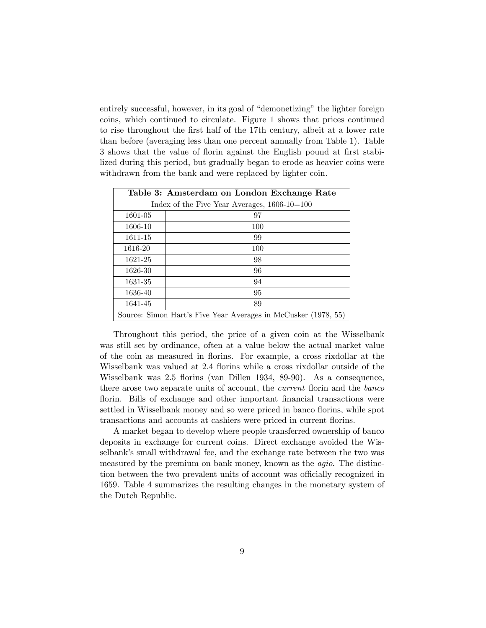entirely successful, however, in its goal of "demonetizing" the lighter foreign coins, which continued to circulate. Figure 1 shows that prices continued to rise throughout the first half of the 17th century, albeit at a lower rate than before (averaging less than one percent annually from Table 1). Table 3 shows that the value of florin against the English pound at first stabilized during this period, but gradually began to erode as heavier coins were withdrawn from the bank and were replaced by lighter coin.

| Table 3: Amsterdam on London Exchange Rate                     |     |  |  |  |
|----------------------------------------------------------------|-----|--|--|--|
| Index of the Five Year Averages, $1606-10=100$                 |     |  |  |  |
| 1601-05                                                        | 97  |  |  |  |
| 1606-10                                                        | 100 |  |  |  |
| 1611-15                                                        | 99  |  |  |  |
| 1616-20                                                        | 100 |  |  |  |
| 1621-25                                                        | 98  |  |  |  |
| 1626-30                                                        | 96  |  |  |  |
| 1631-35                                                        | 94  |  |  |  |
| 1636-40                                                        | 95  |  |  |  |
| 1641-45                                                        | 89  |  |  |  |
| Source: Simon Hart's Five Year Averages in McCusker (1978, 55) |     |  |  |  |

Throughout this period, the price of a given coin at the Wisselbank was still set by ordinance, often at a value below the actual market value of the coin as measured in áorins. For example, a cross rixdollar at the Wisselbank was valued at 2.4 florins while a cross rixdollar outside of the Wisselbank was 2.5 áorins (van Dillen 1934, 89-90). As a consequence, there arose two separate units of account, the *current* florin and the *banco* florin. Bills of exchange and other important financial transactions were settled in Wisselbank money and so were priced in banco florins, while spot transactions and accounts at cashiers were priced in current florins.

A market began to develop where people transferred ownership of banco deposits in exchange for current coins. Direct exchange avoided the Wisselbank's small withdrawal fee, and the exchange rate between the two was measured by the premium on bank money, known as the *agio*. The distinction between the two prevalent units of account was officially recognized in 1659. Table 4 summarizes the resulting changes in the monetary system of the Dutch Republic.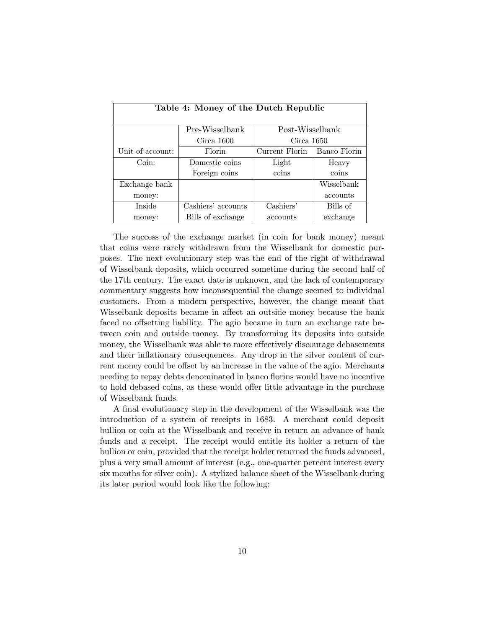| Table 4: Money of the Dutch Republic |                          |                |              |  |  |
|--------------------------------------|--------------------------|----------------|--------------|--|--|
| Pre-Wisselbank<br>Post-Wisselbank    |                          |                |              |  |  |
|                                      | Circa 1600<br>Circa 1650 |                |              |  |  |
| Unit of account:                     | Florin                   | Current Florin | Banco Florin |  |  |
| Coin:                                | Domestic coins           | Light          | Heavy        |  |  |
|                                      | Foreign coins            | coins          | coins        |  |  |
| Exchange bank                        |                          |                | Wisselbank   |  |  |
| money:                               |                          |                | accounts     |  |  |
| <b>Inside</b>                        | Cashiers' accounts       | Cashiers'      | Bills of     |  |  |
| money:                               | Bills of exchange        | accounts       | exchange     |  |  |

The success of the exchange market (in coin for bank money) meant that coins were rarely withdrawn from the Wisselbank for domestic purposes. The next evolutionary step was the end of the right of withdrawal of Wisselbank deposits, which occurred sometime during the second half of the 17th century. The exact date is unknown, and the lack of contemporary commentary suggests how inconsequential the change seemed to individual customers. From a modern perspective, however, the change meant that Wisselbank deposits became in affect an outside money because the bank faced no offsetting liability. The agio became in turn an exchange rate between coin and outside money. By transforming its deposits into outside money, the Wisselbank was able to more effectively discourage debasements and their inflationary consequences. Any drop in the silver content of current money could be offset by an increase in the value of the agio. Merchants needing to repay debts denominated in banco florins would have no incentive to hold debased coins, as these would offer little advantage in the purchase of Wisselbank funds.

A final evolutionary step in the development of the Wisselbank was the introduction of a system of receipts in 1683. A merchant could deposit bullion or coin at the Wisselbank and receive in return an advance of bank funds and a receipt. The receipt would entitle its holder a return of the bullion or coin, provided that the receipt holder returned the funds advanced, plus a very small amount of interest (e.g., one-quarter percent interest every six months for silver coin). A stylized balance sheet of the Wisselbank during its later period would look like the following: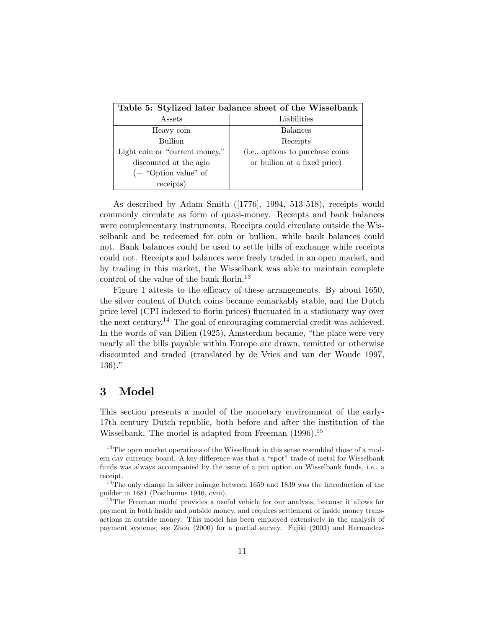| Table 5: Stylized later balance sheet of the Wisselbank |                                  |  |  |  |
|---------------------------------------------------------|----------------------------------|--|--|--|
| Assets                                                  | Liabilities                      |  |  |  |
| Heavy coin                                              | <b>Balances</b>                  |  |  |  |
| <b>Bullion</b>                                          | Receipts                         |  |  |  |
| Light coin or "current money,"                          | (i.e., options to purchase coins |  |  |  |
| discounted at the agio                                  | or bullion at a fixed price)     |  |  |  |
| $\left(-\right.$ "Option value" of                      |                                  |  |  |  |
| receipts)                                               |                                  |  |  |  |

As described by Adam Smith ([1776], 1994, 513-518), receipts would commonly circulate as form of quasi-money. Receipts and bank balances were complementary instruments. Receipts could circulate outside the Wisselbank and be redeemed for coin or bullion, while bank balances could not. Bank balances could be used to settle bills of exchange while receipts could not. Receipts and balances were freely traded in an open market, and by trading in this market, the Wisselbank was able to maintain complete control of the value of the bank florin.<sup>13</sup>

Figure 1 attests to the efficacy of these arrangements. By about 1650, the silver content of Dutch coins became remarkably stable, and the Dutch price level (CPI indexed to florin prices) fluctuated in a stationary way over the next century.<sup>14</sup> The goal of encouraging commercial credit was achieved. In the words of van Dillen  $(1925)$ , Amsterdam became, "the place were very nearly all the bills payable within Europe are drawn, remitted or otherwise discounted and traded (translated by de Vries and van der Woude 1997,  $136$ )."

## 3 Model

This section presents a model of the monetary environment of the early-17th century Dutch republic, both before and after the institution of the Wisselbank. The model is adapted from Freeman  $(1996)$ <sup>15</sup>

 $13$ The open market operations of the Wisselbank in this sense resembled those of a modern day currency board. A key difference was that a "spot" trade of metal for Wisselbank funds was always accompanied by the issue of a put option on Wisselbank funds, i.e., a receipt.

 $14$ <sup>14</sup>The only change in silver coinage between 1659 and 1839 was the introduction of the guilder in 1681 (Posthumus 1946, cviii).

 $15$ The Freeman model provides a useful vehicle for our analysis, because it allows for payment in both inside and outside money, and requires settlement of inside money transactions in outside money. This model has been employed extensively in the analysis of payment systems; see Zhou (2000) for a partial survey. Fujiki (2003) and Hernandez-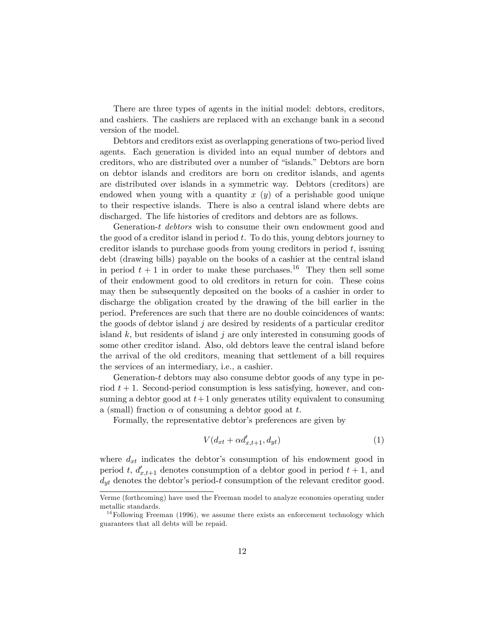There are three types of agents in the initial model: debtors, creditors, and cashiers. The cashiers are replaced with an exchange bank in a second version of the model.

Debtors and creditors exist as overlapping generations of two-period lived agents. Each generation is divided into an equal number of debtors and creditors, who are distributed over a number of "islands." Debtors are born on debtor islands and creditors are born on creditor islands, and agents are distributed over islands in a symmetric way. Debtors (creditors) are endowed when young with a quantity  $x(y)$  of a perishable good unique to their respective islands. There is also a central island where debts are discharged. The life histories of creditors and debtors are as follows.

Generation-t debtors wish to consume their own endowment good and the good of a creditor island in period  $t$ . To do this, young debtors journey to creditor islands to purchase goods from young creditors in period  $t$ , issuing debt (drawing bills) payable on the books of a cashier at the central island in period  $t + 1$  in order to make these purchases.<sup>16</sup> They then sell some of their endowment good to old creditors in return for coin. These coins may then be subsequently deposited on the books of a cashier in order to discharge the obligation created by the drawing of the bill earlier in the period. Preferences are such that there are no double coincidences of wants: the goods of debtor island  $j$  are desired by residents of a particular creditor island  $k$ , but residents of island j are only interested in consuming goods of some other creditor island. Also, old debtors leave the central island before the arrival of the old creditors, meaning that settlement of a bill requires the services of an intermediary, i.e., a cashier.

Generation-t debtors may also consume debtor goods of any type in period  $t + 1$ . Second-period consumption is less satisfying, however, and consuming a debtor good at  $t+1$  only generates utility equivalent to consuming a (small) fraction  $\alpha$  of consuming a debtor good at t.

Formally, the representative debtor's preferences are given by

$$
V(d_{xt} + \alpha d'_{x,t+1}, d_{yt})
$$
\n<sup>(1)</sup>

where  $d_{xt}$  indicates the debtor's consumption of his endowment good in period t,  $d'_{x,t+1}$  denotes consumption of a debtor good in period  $t + 1$ , and  $d_{ut}$  denotes the debtor's period-t consumption of the relevant creditor good.

Verme (forthcoming) have used the Freeman model to analyze economies operating under metallic standards.

 $16$  Following Freeman (1996), we assume there exists an enforcement technology which guarantees that all debts will be repaid.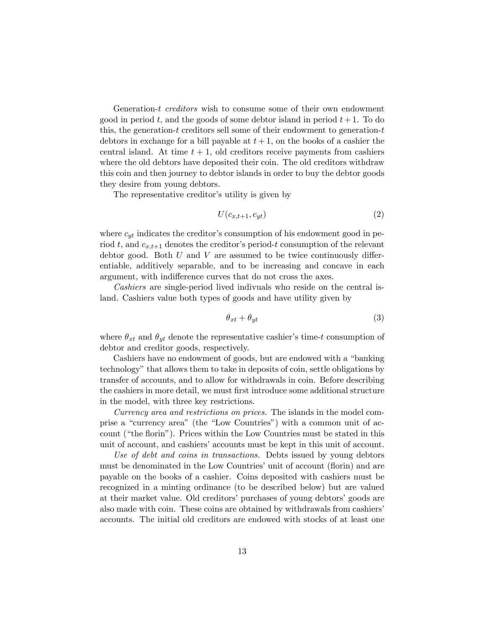Generation-t creditors wish to consume some of their own endowment good in period t, and the goods of some debtor island in period  $t+1$ . To do this, the generation- $t$  creditors sell some of their endowment to generation- $t$ debtors in exchange for a bill payable at  $t + 1$ , on the books of a cashier the central island. At time  $t + 1$ , old creditors receive payments from cashiers where the old debtors have deposited their coin. The old creditors withdraw this coin and then journey to debtor islands in order to buy the debtor goods they desire from young debtors.

The representative creditor's utility is given by

$$
U(c_{x,t+1}, c_{yt}) \tag{2}
$$

where  $c_{yt}$  indicates the creditor's consumption of his endowment good in period t, and  $c_{x,t+1}$  denotes the creditor's period-t consumption of the relevant debtor good. Both  $U$  and  $V$  are assumed to be twice continuously differentiable, additively separable, and to be increasing and concave in each argument, with indifference curves that do not cross the axes.

Cashiers are single-period lived indivuals who reside on the central island. Cashiers value both types of goods and have utility given by

$$
\theta_{xt} + \theta_{yt} \tag{3}
$$

where  $\theta_{xt}$  and  $\theta_{yt}$  denote the representative cashier's time-t consumption of debtor and creditor goods, respectively.

Cashiers have no endowment of goods, but are endowed with a "banking" technology" that allows them to take in deposits of coin, settle obligations by transfer of accounts, and to allow for withdrawals in coin. Before describing the cashiers in more detail, we must first introduce some additional structure in the model, with three key restrictions.

Currency area and restrictions on prices. The islands in the model comprise a "currency area" (the "Low Countries") with a common unit of account ("the florin"). Prices within the Low Countries must be stated in this unit of account, and cashiers' accounts must be kept in this unit of account.

Use of debt and coins in transactions. Debts issued by young debtors must be denominated in the Low Countries' unit of account (florin) and are payable on the books of a cashier. Coins deposited with cashiers must be recognized in a minting ordinance (to be described below) but are valued at their market value. Old creditors' purchases of young debtors' goods are also made with coin. These coins are obtained by withdrawals from cashiers' accounts. The initial old creditors are endowed with stocks of at least one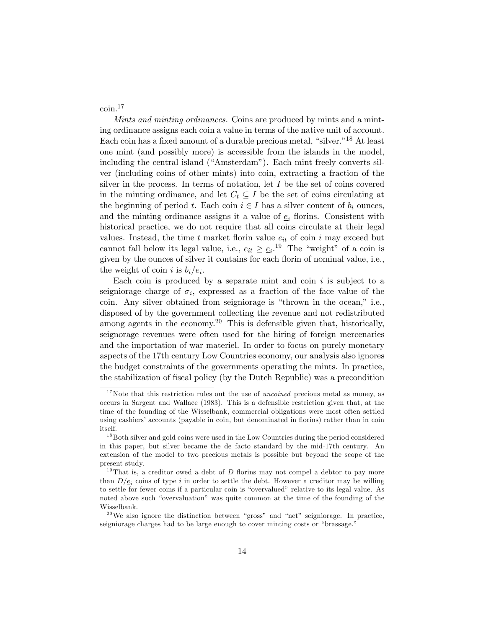coin.<sup>17</sup>

Mints and minting ordinances. Coins are produced by mints and a minting ordinance assigns each coin a value in terms of the native unit of account. Each coin has a fixed amount of a durable precious metal, "silver."<sup>18</sup> At least one mint (and possibly more) is accessible from the islands in the model, including the central island ("Amsterdam"). Each mint freely converts silver (including coins of other mints) into coin, extracting a fraction of the silver in the process. In terms of notation, let  $I$  be the set of coins covered in the minting ordinance, and let  $C_t \subseteq I$  be the set of coins circulating at the beginning of period t. Each coin  $i \in I$  has a silver content of  $b_i$  ounces, and the minting ordinance assigns it a value of  $e_i$  florins. Consistent with historical practice, we do not require that all coins circulate at their legal values. Instead, the time  $t$  market florin value  $e_{it}$  of coin  $i$  may exceed but cannot fall below its legal value, i.e.,  $e_{it} \geq \underline{e}_i$ .<sup>19</sup> The "weight" of a coin is given by the ounces of silver it contains for each florin of nominal value, i.e., the weight of coin i is  $b_i/e_i$ .

Each coin is produced by a separate mint and coin  $i$  is subject to a seigniorage charge of  $\sigma_i$ , expressed as a fraction of the face value of the coin. Any silver obtained from seigniorage is "thrown in the ocean," i.e., disposed of by the government collecting the revenue and not redistributed among agents in the economy.<sup>20</sup> This is defensible given that, historically, seignorage revenues were often used for the hiring of foreign mercenaries and the importation of war materiel. In order to focus on purely monetary aspects of the 17th century Low Countries economy, our analysis also ignores the budget constraints of the governments operating the mints. In practice, the stabilization of fiscal policy (by the Dutch Republic) was a precondition

 $17$  Note that this restriction rules out the use of *uncoined* precious metal as money, as occurs in Sargent and Wallace (1983). This is a defensible restriction given that, at the time of the founding of the Wisselbank, commercial obligations were most often settled using cashiers' accounts (payable in coin, but denominated in florins) rather than in coin itself.

 $18$  Both silver and gold coins were used in the Low Countries during the period considered in this paper, but silver became the de facto standard by the mid-17th century. An extension of the model to two precious metals is possible but beyond the scope of the present study.

<sup>&</sup>lt;sup>19</sup>That is, a creditor owed a debt of  $D$  florins may not compel a debtor to pay more than  $D/\underline{e}_i$  coins of type i in order to settle the debt. However a creditor may be willing to settle for fewer coins if a particular coin is "overvalued" relative to its legal value. As noted above such "overvaluation" was quite common at the time of the founding of the Wisselbank.

 $20$ We also ignore the distinction between "gross" and "net" seigniorage. In practice, seigniorage charges had to be large enough to cover minting costs or "brassage."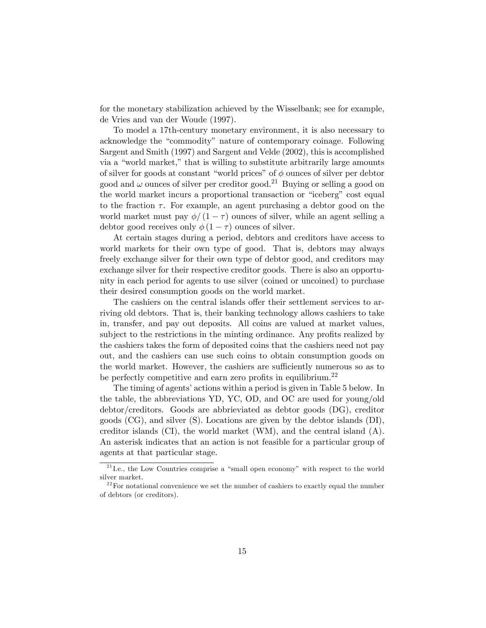for the monetary stabilization achieved by the Wisselbank; see for example, de Vries and van der Woude (1997).

To model a 17th-century monetary environment, it is also necessary to acknowledge the "commodity" nature of contemporary coinage. Following Sargent and Smith (1997) and Sargent and Velde (2002), this is accomplished via a "world market," that is willing to substitute arbitrarily large amounts of silver for goods at constant "world prices" of  $\phi$  ounces of silver per debtor good and  $\omega$  ounces of silver per creditor good.<sup>21</sup> Buying or selling a good on the world market incurs a proportional transaction or "iceberg" cost equal to the fraction  $\tau$ . For example, an agent purchasing a debtor good on the world market must pay  $\phi/(1-\tau)$  ounces of silver, while an agent selling a debtor good receives only  $\phi(1 - \tau)$  ounces of silver.

At certain stages during a period, debtors and creditors have access to world markets for their own type of good. That is, debtors may always freely exchange silver for their own type of debtor good, and creditors may exchange silver for their respective creditor goods. There is also an opportunity in each period for agents to use silver (coined or uncoined) to purchase their desired consumption goods on the world market.

The cashiers on the central islands offer their settlement services to arriving old debtors. That is, their banking technology allows cashiers to take in, transfer, and pay out deposits. All coins are valued at market values, subject to the restrictions in the minting ordinance. Any profits realized by the cashiers takes the form of deposited coins that the cashiers need not pay out, and the cashiers can use such coins to obtain consumption goods on the world market. However, the cashiers are sufficiently numerous so as to be perfectly competitive and earn zero profits in equilibrium.<sup>22</sup>

The timing of agents' actions within a period is given in Table 5 below. In the table, the abbreviations YD, YC, OD, and OC are used for young/old debtor/creditors. Goods are abbrieviated as debtor goods (DG), creditor goods (CG), and silver (S). Locations are given by the debtor islands (DI), creditor islands (CI), the world market (WM), and the central island (A). An asterisk indicates that an action is not feasible for a particular group of agents at that particular stage.

 $2^{21}$  I.e., the Low Countries comprise a "small open economy" with respect to the world silver market.

 $2<sup>22</sup>$  For notational convenience we set the number of cashiers to exactly equal the number of debtors (or creditors).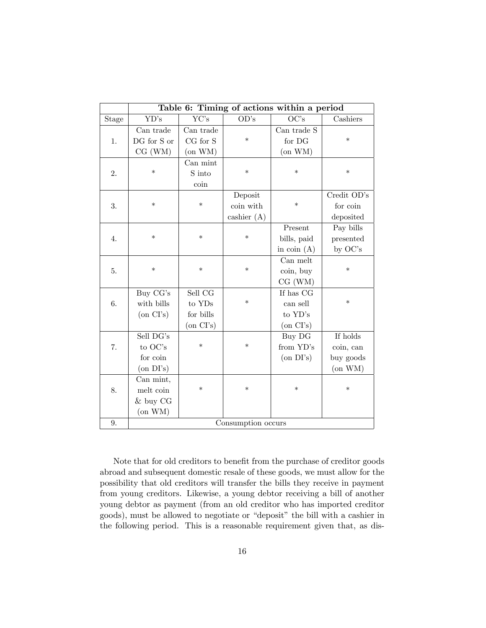|       | Table 6: Timing of actions within a period |                 |               |                 |               |
|-------|--------------------------------------------|-----------------|---------------|-----------------|---------------|
| Stage | YD's                                       | YC's            | OD's          | OC's            | Cashiers      |
|       | Can trade                                  | Can trade       |               | Can trade S     |               |
| 1.    | DG for S or                                | CG for S        | $\ast$        | for DG          | $\ast$        |
|       | CG (WM)                                    | $($ on WM $)$   |               | $($ on WM $)$   |               |
|       |                                            | Can mint        |               |                 |               |
| 2.    | $\ast$                                     | S into          | $\ast$        | $\ast$          | $\ast$        |
|       |                                            | coin            |               |                 |               |
|       |                                            |                 | Deposit       |                 | Credit OD's   |
| 3.    | $\ast$                                     | $\ast$          | coin with     | $\ast$          | for coin      |
|       |                                            |                 | cashier $(A)$ |                 | deposited     |
|       |                                            |                 |               | Present         | Pay bills     |
| 4.    | $\ast$                                     | $\ast$          | $\ast$        | bills, paid     | presented     |
|       |                                            |                 |               | in coin $(A)$   | by OC's       |
|       |                                            |                 |               | Can melt        |               |
| 5.    | $\ast$                                     | $\ast$          | $\ast$        | coin, buy       | $\ast$        |
|       |                                            |                 |               | CG (WM)         |               |
|       | Buy CG's                                   | Sell CG         |               | If has CG       |               |
| 6.    | with bills                                 | to YDs          | $\ast$        | can sell        | $\ast$        |
|       | $($ on CI's $)$                            | for bills       |               | to YD's         |               |
|       |                                            | $($ on CI's $)$ |               | $($ on CI's $)$ |               |
|       | Sell DG's                                  |                 |               | Buy DG          | If holds      |
| 7.    | to OC's                                    | $\ast$          | $\ast$        | from YD's       | coin, can     |
|       | for coin                                   |                 |               | $($ on DI's $)$ | buy goods     |
|       | $($ on DI's $)$                            |                 |               |                 | $($ on WM $)$ |
|       | Can mint,                                  |                 |               |                 |               |
| 8.    | melt coin                                  | $\ast$          | $\ast$        | $\ast$          | $\ast$        |
|       | & buy CG                                   |                 |               |                 |               |
|       | $($ on WM $)$                              |                 |               |                 |               |
| 9.    | Consumption occurs                         |                 |               |                 |               |

Note that for old creditors to benefit from the purchase of creditor goods abroad and subsequent domestic resale of these goods, we must allow for the possibility that old creditors will transfer the bills they receive in payment from young creditors. Likewise, a young debtor receiving a bill of another young debtor as payment (from an old creditor who has imported creditor goods), must be allowed to negotiate or "deposit" the bill with a cashier in the following period. This is a reasonable requirement given that, as dis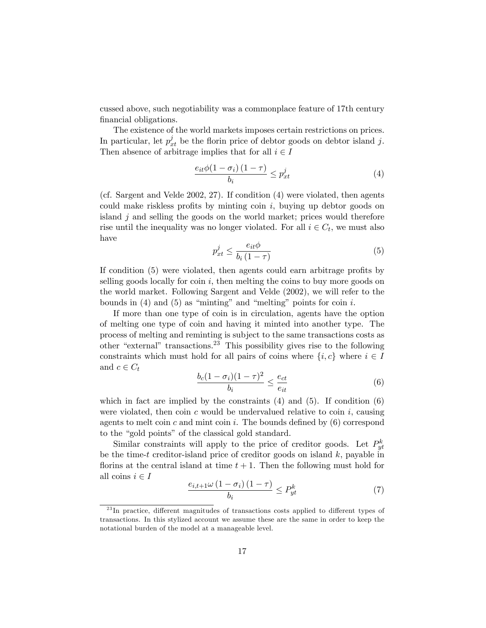cussed above, such negotiability was a commonplace feature of 17th century financial obligations.

The existence of the world markets imposes certain restrictions on prices. In particular, let  $p_{xt}^j$  be the florin price of debtor goods on debtor island j. Then absence of arbitrage implies that for all  $i \in I$ 

$$
\frac{e_{it}\phi(1-\sigma_i)(1-\tau)}{b_i} \le p_{xt}^j \tag{4}
$$

(cf. Sargent and Velde 2002, 27). If condition (4) were violated, then agents could make riskless profits by minting coin  $i$ , buying up debtor goods on island  $j$  and selling the goods on the world market; prices would therefore rise until the inequality was no longer violated. For all  $i \in C_t$ , we must also have

$$
p_{xt}^{j} \le \frac{e_{it}\phi}{b_i\left(1-\tau\right)}\tag{5}
$$

If condition  $(5)$  were violated, then agents could earn arbitrage profits by selling goods locally for coin  $i$ , then melting the coins to buy more goods on the world market. Following Sargent and Velde (2002), we will refer to the bounds in  $(4)$  and  $(5)$  as "minting" and "melting" points for coin i.

If more than one type of coin is in circulation, agents have the option of melting one type of coin and having it minted into another type. The process of melting and reminting is subject to the same transactions costs as other "external" transactions.<sup>23</sup> This possibility gives rise to the following constraints which must hold for all pairs of coins where  $\{i, c\}$  where  $i \in I$ and  $c \in C_t$ 

$$
\frac{b_c(1-\sigma_i)(1-\tau)^2}{b_i} \le \frac{e_{ct}}{e_{it}}\tag{6}
$$

which in fact are implied by the constraints  $(4)$  and  $(5)$ . If condition  $(6)$ were violated, then coin c would be undervalued relative to coin  $i$ , causing agents to melt coin c and mint coin i. The bounds defined by  $(6)$  correspond to the "gold points" of the classical gold standard.

Similar constraints will apply to the price of creditor goods. Let  $P_{yt}^k$ be the time-t creditor-island price of creditor goods on island  $k$ , payable in florins at the central island at time  $t + 1$ . Then the following must hold for all coins  $i \in I$ 

$$
\frac{e_{i,t+1}\omega\left(1-\sigma_i\right)\left(1-\tau\right)}{b_i} \le P_{yt}^k\tag{7}
$$

 $^{23}$ In practice, different magnitudes of transactions costs applied to different types of transactions. In this stylized account we assume these are the same in order to keep the notational burden of the model at a manageable level.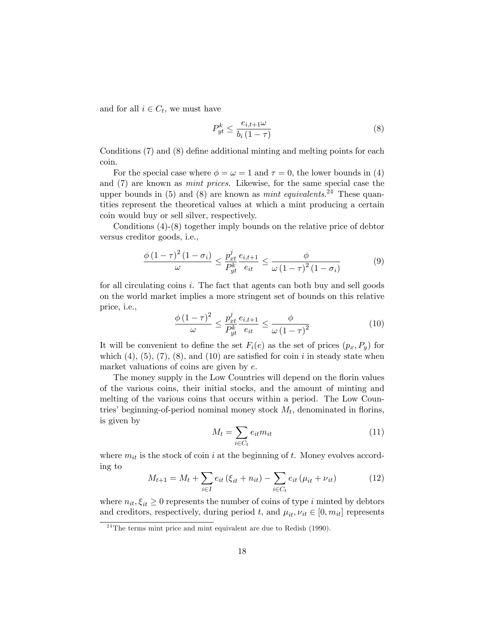and for all  $i \in C_t$ , we must have

$$
P_{yt}^k \le \frac{e_{i,t+1}\omega}{b_i\left(1-\tau\right)}\tag{8}
$$

Conditions  $(7)$  and  $(8)$  define additional minting and melting points for each coin.

For the special case where  $\phi = \omega = 1$  and  $\tau = 0$ , the lower bounds in (4) and (7) are known as mint prices. Likewise, for the same special case the upper bounds in  $(5)$  and  $(8)$  are known as *mint equivalents*.<sup>24</sup> These quantities represent the theoretical values at which a mint producing a certain coin would buy or sell silver, respectively.

Conditions (4)-(8) together imply bounds on the relative price of debtor versus creditor goods, i.e.,

$$
\frac{\phi\left(1-\tau\right)^{2}\left(1-\sigma_{i}\right)}{\omega} \leq \frac{p_{xt}^{j}}{P_{yt}^{k}}\frac{e_{i,t+1}}{e_{it}} \leq \frac{\phi}{\omega\left(1-\tau\right)^{2}\left(1-\sigma_{i}\right)}
$$
(9)

for all circulating coins i. The fact that agents can both buy and sell goods on the world market implies a more stringent set of bounds on this relative price, i.e.,

$$
\frac{\phi\left(1-\tau\right)^{2}}{\omega} \le \frac{p_{xt}^{j}}{P_{yt}^{k}} \frac{e_{i,t+1}}{e_{it}} \le \frac{\phi}{\omega\left(1-\tau\right)^{2}}\tag{10}
$$

It will be convenient to define the set  $F_i(e)$  as the set of prices  $(p_x, P_y)$  for which  $(4)$ ,  $(5)$ ,  $(7)$ ,  $(8)$ , and  $(10)$  are satisfied for coin i in steady state when market valuations of coins are given by e.

The money supply in the Low Countries will depend on the florin values of the various coins, their initial stocks, and the amount of minting and melting of the various coins that occurs within a period. The Low Countries' beginning-of-period nominal money stock  $M_t$ , denominated in florins, is given by

$$
M_t = \sum_{i \in C_t} e_{it} m_{it} \tag{11}
$$

where  $m_{it}$  is the stock of coin i at the beginning of t. Money evolves according to

$$
M_{t+1} = M_t + \sum_{i \in I} e_{it} (\xi_{it} + n_{it}) - \sum_{i \in C_t} e_{it} (\mu_{it} + \nu_{it})
$$
 (12)

where  $n_{it}, \xi_{it} \geq 0$  represents the number of coins of type i minted by debtors and creditors, respectively, during period t, and  $\mu_{it}$ ,  $\nu_{it} \in [0, m_{it}]$  represents

 $24$ The terms mint price and mint equivalent are due to Redish (1990).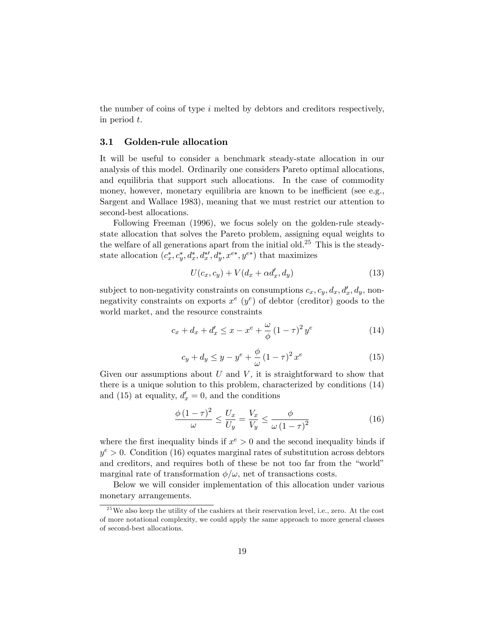the number of coins of type  $i$  melted by debtors and creditors respectively, in period t.

#### 3.1 Golden-rule allocation

It will be useful to consider a benchmark steady-state allocation in our analysis of this model. Ordinarily one considers Pareto optimal allocations, and equilibria that support such allocations. In the case of commodity money, however, monetary equilibria are known to be inefficient (see e.g., Sargent and Wallace 1983), meaning that we must restrict our attention to second-best allocations.

Following Freeman (1996), we focus solely on the golden-rule steadystate allocation that solves the Pareto problem, assigning equal weights to the welfare of all generations apart from the initial old.<sup>25</sup> This is the steadystate allocation  $(c_x^*, c_y^*, d_x^*, d_x^{*'}, d_y^*, x^{e*}, y^{e*})$  that maximizes

$$
U(c_x, c_y) + V(d_x + \alpha d'_x, d_y)
$$
\n
$$
(13)
$$

subject to non-negativity constraints on consumptions  $c_x, c_y, d_x, d'_x, d_y$ , nonnegativity constraints on exports  $x^e$  ( $y^e$ ) of debtor (creditor) goods to the world market, and the resource constraints

$$
c_x + d_x + d'_x \le x - x^e + \frac{\omega}{\phi} (1 - \tau)^2 y^e
$$
 (14)

$$
c_y + d_y \le y - y^e + \frac{\phi}{\omega} (1 - \tau)^2 x^e \tag{15}
$$

Given our assumptions about  $U$  and  $V$ , it is straightforward to show that there is a unique solution to this problem, characterized by conditions (14) and (15) at equality,  $d'_x = 0$ , and the conditions

$$
\frac{\phi\left(1-\tau\right)^{2}}{\omega} \le \frac{U_{x}}{U_{y}} = \frac{V_{x}}{V_{y}} \le \frac{\phi}{\omega\left(1-\tau\right)^{2}}\tag{16}
$$

where the first inequality binds if  $x^e > 0$  and the second inequality binds if  $y^e > 0$ . Condition (16) equates marginal rates of substitution across debtors and creditors, and requires both of these be not too far from the "world" marginal rate of transformation  $\phi/\omega$ , net of transactions costs.

Below we will consider implementation of this allocation under various monetary arrangements.

 $25$  We also keep the utility of the cashiers at their reservation level, i.e., zero. At the cost of more notational complexity, we could apply the same approach to more general classes of second-best allocations.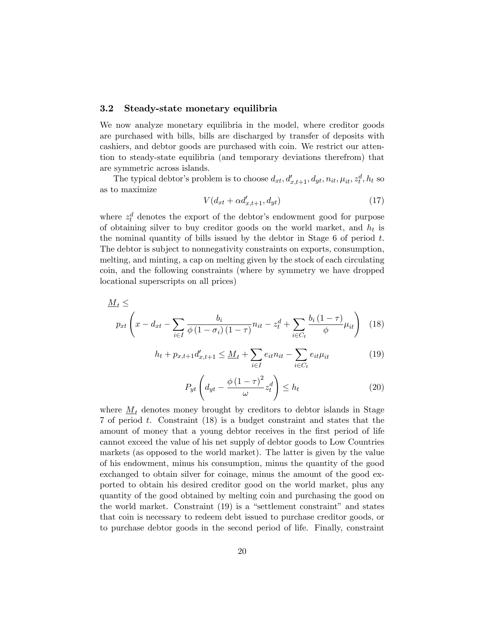#### 3.2 Steady-state monetary equilibria

We now analyze monetary equilibria in the model, where creditor goods are purchased with bills, bills are discharged by transfer of deposits with cashiers, and debtor goods are purchased with coin. We restrict our attention to steady-state equilibria (and temporary deviations therefrom) that are symmetric across islands.

The typical debtor's problem is to choose  $d_{xt}$ ,  $d'_{x,t+1}$ ,  $d_{yt}$ ,  $n_{it}$ ,  $\mu_{it}$ ,  $z_t^d$ ,  $h_t$  so as to maximize

$$
V(d_{xt} + \alpha d'_{x,t+1}, d_{yt})\tag{17}
$$

where  $z_t^d$  denotes the export of the debtor's endowment good for purpose of obtaining silver to buy creditor goods on the world market, and  $h_t$  is the nominal quantity of bills issued by the debtor in Stage  $6$  of period  $t$ . The debtor is subject to nonnegativity constraints on exports, consumption, melting, and minting, a cap on melting given by the stock of each circulating coin, and the following constraints (where by symmetry we have dropped locational superscripts on all prices)

$$
\underline{M}_t \le
$$
\n
$$
p_{xt} \left( x - d_{xt} - \sum_{i \in I} \frac{b_i}{\phi \left( 1 - \sigma_i \right) \left( 1 - \tau \right)} n_{it} - z_t^d + \sum_{i \in C_t} \frac{b_i \left( 1 - \tau \right)}{\phi} \mu_{it} \right) \tag{18}
$$

$$
h_t + p_{x,t+1}d'_{x,t+1} \leq \underline{M}_t + \sum_{i \in I} e_{it}n_{it} - \sum_{i \in C_t} e_{it}\mu_{it}
$$
 (19)

$$
P_{yt}\left(d_{yt} - \frac{\phi\left(1-\tau\right)^2}{\omega}z_t^d\right) \le h_t\tag{20}
$$

where  $M_t$  denotes money brought by creditors to debtor islands in Stage 7 of period t. Constraint (18) is a budget constraint and states that the amount of money that a young debtor receives in the first period of life cannot exceed the value of his net supply of debtor goods to Low Countries markets (as opposed to the world market). The latter is given by the value of his endowment, minus his consumption, minus the quantity of the good exchanged to obtain silver for coinage, minus the amount of the good exported to obtain his desired creditor good on the world market, plus any quantity of the good obtained by melting coin and purchasing the good on the world market. Constraint  $(19)$  is a "settlement constraint" and states that coin is necessary to redeem debt issued to purchase creditor goods, or to purchase debtor goods in the second period of life. Finally, constraint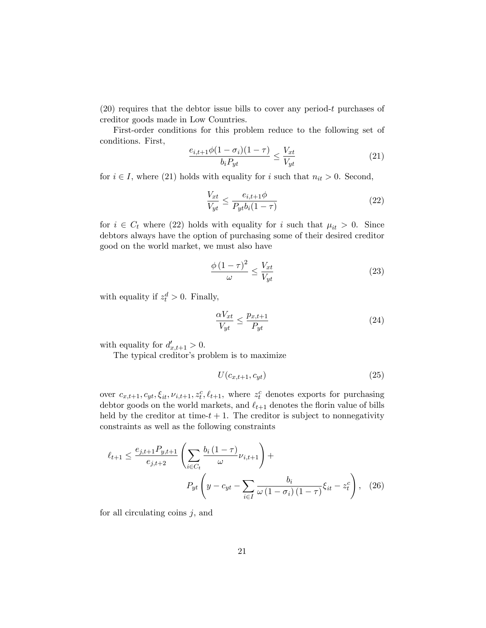$(20)$  requires that the debtor issue bills to cover any period-t purchases of creditor goods made in Low Countries.

First-order conditions for this problem reduce to the following set of conditions. First,

$$
\frac{e_{i,t+1}\phi(1-\sigma_i)(1-\tau)}{b_i P_{yt}} \le \frac{V_{xt}}{V_{yt}}\tag{21}
$$

for  $i \in I$ , where (21) holds with equality for i such that  $n_{it} > 0$ . Second,

$$
\frac{V_{xt}}{V_{yt}} \le \frac{e_{i,t+1}\phi}{P_{yt}b_i(1-\tau)}
$$
\n(22)

for  $i \in C_t$  where (22) holds with equality for i such that  $\mu_{it} > 0$ . Since debtors always have the option of purchasing some of their desired creditor good on the world market, we must also have

$$
\frac{\phi\left(1-\tau\right)^2}{\omega} \le \frac{V_{xt}}{V_{yt}}\tag{23}
$$

with equality if  $z_t^d > 0$ . Finally,

$$
\frac{\alpha V_{xt}}{V_{yt}} \le \frac{p_{x,t+1}}{P_{yt}}\tag{24}
$$

with equality for  $d'_{x,t+1} > 0$ .

The typical creditor's problem is to maximize

$$
U(c_{x,t+1}, c_{yt})\tag{25}
$$

over  $c_{x,t+1}, c_{yt}, \xi_{it}, \nu_{i,t+1}, z_t^c, \ell_{t+1}$ , where  $z_t^c$  denotes exports for purchasing debtor goods on the world markets, and  $\ell_{t+1}$  denotes the florin value of bills held by the creditor at time- $t + 1$ . The creditor is subject to nonnegativity constraints as well as the following constraints

$$
\ell_{t+1} \le \frac{e_{j,t+1} P_{y,t+1}}{e_{j,t+2}} \left( \sum_{i \in C_t} \frac{b_i (1-\tau)}{\omega} \nu_{i,t+1} \right) +
$$
  

$$
P_{yt} \left( y - c_{yt} - \sum_{i \in I} \frac{b_i}{\omega (1-\sigma_i) (1-\tau)} \xi_{it} - z_t^c \right), \quad (26)
$$

for all circulating coins  $j$ , and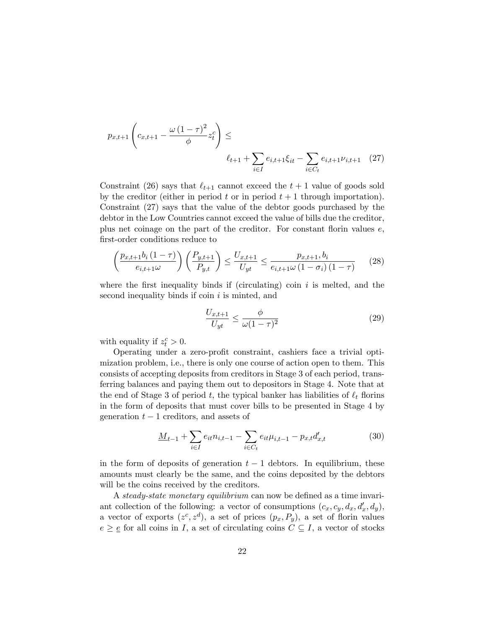$$
p_{x,t+1}\left(c_{x,t+1} - \frac{\omega(1-\tau)^2}{\phi}z_t^c\right) \le
$$
  

$$
\ell_{t+1} + \sum_{i \in I} e_{i,t+1}\xi_{it} - \sum_{i \in C_t} e_{i,t+1}\nu_{i,t+1} \quad (27)
$$

Constraint (26) says that  $\ell_{t+1}$  cannot exceed the  $t + 1$  value of goods sold by the creditor (either in period t or in period  $t + 1$  through importation). Constraint (27) says that the value of the debtor goods purchased by the debtor in the Low Countries cannot exceed the value of bills due the creditor, plus net coinage on the part of the creditor. For constant florin values  $e$ , first-order conditions reduce to

$$
\left(\frac{p_{x,t+1}b_i(1-\tau)}{e_{i,t+1}\omega}\right)\left(\frac{P_{y,t+1}}{P_{y,t}}\right) \le \frac{U_{x,t+1}}{U_{yt}} \le \frac{p_{x,t+1}, b_i}{e_{i,t+1}\omega(1-\sigma_i)(1-\tau)}
$$
(28)

where the first inequality binds if (circulating) coin  $i$  is melted, and the second inequality binds if  $\overline{\text{coin}}\ i$  is minted, and

$$
\frac{U_{x,t+1}}{U_{yt}} \le \frac{\phi}{\omega(1-\tau)^2} \tag{29}
$$

with equality if  $z_t^c > 0$ .

Operating under a zero-profit constraint, cashiers face a trivial optimization problem, i.e., there is only one course of action open to them. This consists of accepting deposits from creditors in Stage 3 of each period, transferring balances and paying them out to depositors in Stage 4. Note that at the end of Stage 3 of period t, the typical banker has liabilities of  $\ell_t$  florins in the form of deposits that must cover bills to be presented in Stage 4 by generation  $t-1$  creditors, and assets of

$$
\underline{M}_{t-1} + \sum_{i \in I} e_{it} n_{i,t-1} - \sum_{i \in C_t} e_{it} \mu_{i,t-1} - p_{x,t} d'_{x,t}
$$
(30)

in the form of deposits of generation  $t-1$  debtors. In equilibrium, these amounts must clearly be the same, and the coins deposited by the debtors will be the coins received by the creditors.

A steady-state monetary equilibrium can now be defined as a time invariant collection of the following: a vector of consumptions  $(c_x, c_y, d_x, d'_x, d_y)$ , a vector of exports  $(z^c, z^d)$ , a set of prices  $(p_x, P_y)$ , a set of florin values  $e \geq \underline{e}$  for all coins in I, a set of circulating coins  $C \subseteq I$ , a vector of stocks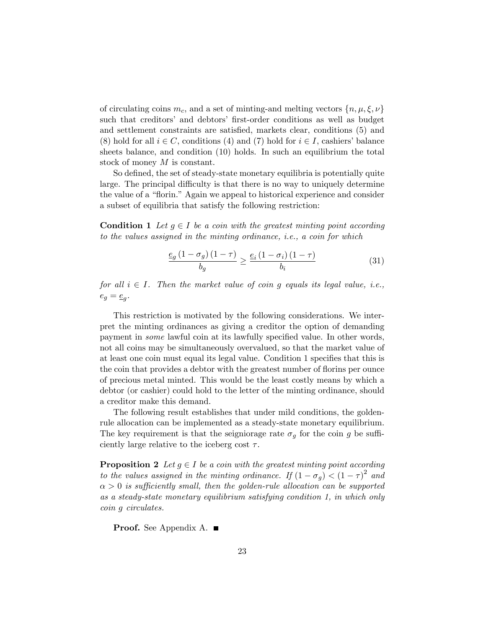of circulating coins  $m_c$ , and a set of minting-and melting vectors  $\{n, \mu, \xi, \nu\}$ such that creditors' and debtors' first-order conditions as well as budget and settlement constraints are satisfied, markets clear, conditions (5) and (8) hold for all  $i \in C$ , conditions (4) and (7) hold for  $i \in I$ , cashiers' balance sheets balance, and condition (10) holds. In such an equilibrium the total stock of money M is constant.

So defined, the set of steady-state monetary equilibria is potentially quite large. The principal difficulty is that there is no way to uniquely determine the value of a "florin." Again we appeal to historical experience and consider a subset of equilibria that satisfy the following restriction:

**Condition 1** Let  $g \in I$  be a coin with the greatest minting point according to the values assigned in the minting ordinance, i.e., a coin for which

$$
\frac{e_g\left(1-\sigma_g\right)\left(1-\tau\right)}{b_g} \ge \frac{e_i\left(1-\sigma_i\right)\left(1-\tau\right)}{b_i} \tag{31}
$$

for all  $i \in I$ . Then the market value of coin g equals its legal value, i.e.,  $e_g = \underline{e}_g.$ 

This restriction is motivated by the following considerations. We interpret the minting ordinances as giving a creditor the option of demanding payment in *some* lawful coin at its lawfully specified value. In other words, not all coins may be simultaneously overvalued, so that the market value of at least one coin must equal its legal value. Condition 1 specifies that this is the coin that provides a debtor with the greatest number of florins per ounce of precious metal minted. This would be the least costly means by which a debtor (or cashier) could hold to the letter of the minting ordinance, should a creditor make this demand.

The following result establishes that under mild conditions, the goldenrule allocation can be implemented as a steady-state monetary equilibrium. The key requirement is that the seigniorage rate  $\sigma_g$  for the coin g be sufficiently large relative to the iceberg cost  $\tau$ .

**Proposition 2** Let  $g \in I$  be a coin with the greatest minting point according to the values assigned in the minting ordinance. If  $(1 - \sigma_g) < (1 - \tau)^2$  and  $\alpha > 0$  is sufficiently small, then the golden-rule allocation can be supported as a steady-state monetary equilibrium satisfying condition 1, in which only coin g circulates.

**Proof.** See Appendix A. ■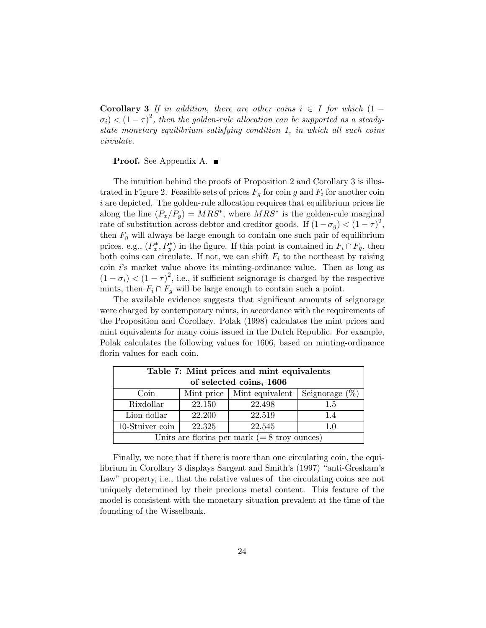**Corollary 3** If in addition, there are other coins  $i \in I$  for which  $(1 \sigma_i$ )  $\lt (1-\tau)^2$ , then the golden-rule allocation can be supported as a steadystate monetary equilibrium satisfying condition 1, in which all such coins circulate.

**Proof.** See Appendix A. ■

The intuition behind the proofs of Proposition 2 and Corollary 3 is illustrated in Figure 2. Feasible sets of prices  $F<sub>g</sub>$  for coin g and  $F<sub>i</sub>$  for another coin i are depicted. The golden-rule allocation requires that equilibrium prices lie along the line  $(P_x/P_y) = MRS^*$ , where  $MRS^*$  is the golden-rule marginal rate of substitution across debtor and creditor goods. If  $(1 - \sigma_g) < (1 - \tau)^2$ , then  $F_q$  will always be large enough to contain one such pair of equilibrium prices, e.g.,  $(P_x^*, P_y^*)$  in the figure. If this point is contained in  $F_i \cap F_g$ , then both coins can circulate. If not, we can shift  $F_i$  to the northeast by raising coin  $i$ 's market value above its minting-ordinance value. Then as long as  $(1 - \sigma_i) < (1 - \tau)^2$ , i.e., if sufficient seignorage is charged by the respective mints, then  $F_i \cap F_g$  will be large enough to contain such a point.

The available evidence suggests that significant amounts of seignorage were charged by contemporary mints, in accordance with the requirements of the Proposition and Corollary. Polak (1998) calculates the mint prices and mint equivalents for many coins issued in the Dutch Republic. For example, Polak calculates the following values for 1606, based on minting-ordinance florin values for each coin.

| Table 7: Mint prices and mint equivalents                  |        |        |     |  |  |
|------------------------------------------------------------|--------|--------|-----|--|--|
| of selected coins, 1606                                    |        |        |     |  |  |
| Seignorage $(\%)$<br>Mint price<br>Mint equivalent<br>Coin |        |        |     |  |  |
| Rixdollar                                                  | 22.150 | 22.498 | 1.5 |  |  |
| 22.200<br>22.519<br>Lion dollar<br>1.4                     |        |        |     |  |  |
| $10$ -Stuiver coin<br>22.325<br>22.545<br>1.0              |        |        |     |  |  |
| Units are floring per mark $(= 8 \text{ troy ounces})$     |        |        |     |  |  |

Finally, we note that if there is more than one circulating coin, the equilibrium in Corollary 3 displays Sargent and Smith's (1997) "anti-Gresham's Law" property, i.e., that the relative values of the circulating coins are not uniquely determined by their precious metal content. This feature of the model is consistent with the monetary situation prevalent at the time of the founding of the Wisselbank.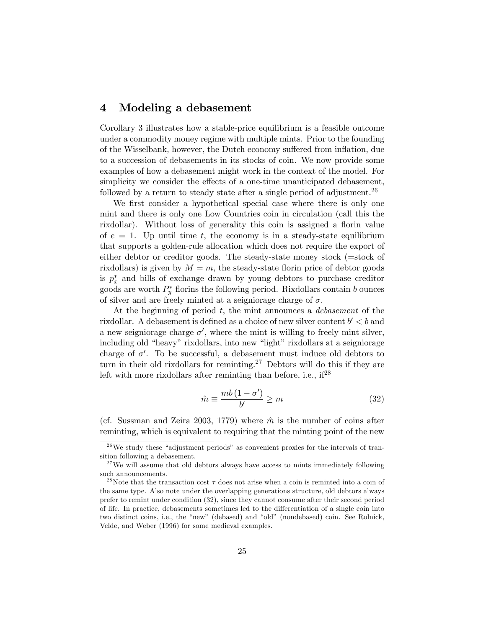#### 4 Modeling a debasement

Corollary 3 illustrates how a stable-price equilibrium is a feasible outcome under a commodity money regime with multiple mints. Prior to the founding of the Wisselbank, however, the Dutch economy suffered from inflation, due to a succession of debasements in its stocks of coin. We now provide some examples of how a debasement might work in the context of the model. For simplicity we consider the effects of a one-time unanticipated debasement, followed by a return to steady state after a single period of adjustment.<sup>26</sup>

We first consider a hypothetical special case where there is only one mint and there is only one Low Countries coin in circulation (call this the rixdollar). Without loss of generality this coin is assigned a florin value of  $e = 1$ . Up until time t, the economy is in a steady-state equilibrium that supports a golden-rule allocation which does not require the export of either debtor or creditor goods. The steady-state money stock (=stock of rixdollars) is given by  $M = m$ , the steady-state florin price of debtor goods is  $p_x^*$  and bills of exchange drawn by young debtors to purchase creditor goods are worth  $P_y^*$  florins the following period. Rixdollars contain b ounces of silver and are freely minted at a seigniorage charge of  $\sigma$ .

At the beginning of period  $t$ , the mint announces a *debasement* of the rixdollar. A debasement is defined as a choice of new silver content  $b' < b$  and a new seigniorage charge  $\sigma'$ , where the mint is willing to freely mint silver, including old "heavy" rixdollars, into new "light" rixdollars at a seigniorage charge of  $\sigma'$ . To be successful, a debasement must induce old debtors to turn in their old rixdollars for reminting.<sup>27</sup> Debtors will do this if they are left with more rixdollars after reminting than before, i.e.,  $if^{28}$ 

$$
\hat{m} \equiv \frac{mb(1 - \sigma')}{b'} \ge m \tag{32}
$$

(cf. Sussman and Zeira 2003, 1779) where  $\hat{m}$  is the number of coins after reminting, which is equivalent to requiring that the minting point of the new

 $2<sup>6</sup>$  We study these "adjustment periods" as convenient proxies for the intervals of transition following a debasement.

 $27$  We will assume that old debtors always have access to mints immediately following such announcements.

<sup>&</sup>lt;sup>28</sup>Note that the transaction cost  $\tau$  does not arise when a coin is reminted into a coin of the same type. Also note under the overlapping generations structure, old debtors always prefer to remint under condition (32), since they cannot consume after their second period of life. In practice, debasements sometimes led to the differentiation of a single coin into two distinct coins, i.e., the "new" (debased) and "old" (nondebased) coin. See Rolnick, Velde, and Weber (1996) for some medieval examples.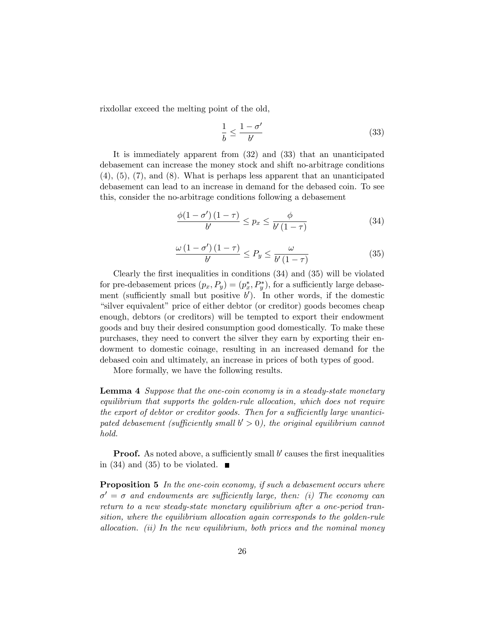rixdollar exceed the melting point of the old,

$$
\frac{1}{b} \le \frac{1 - \sigma'}{b'}\tag{33}
$$

It is immediately apparent from (32) and (33) that an unanticipated debasement can increase the money stock and shift no-arbitrage conditions  $(4)$ ,  $(5)$ ,  $(7)$ , and  $(8)$ . What is perhaps less apparent that an unanticipated debasement can lead to an increase in demand for the debased coin. To see this, consider the no-arbitrage conditions following a debasement

$$
\frac{\phi(1-\sigma')\left(1-\tau\right)}{b'} \leq p_x \leq \frac{\phi}{b'\left(1-\tau\right)}\tag{34}
$$

$$
\frac{\omega\left(1-\sigma'\right)\left(1-\tau\right)}{b'} \le P_y \le \frac{\omega}{b'\left(1-\tau\right)}\tag{35}
$$

Clearly the first inequalities in conditions  $(34)$  and  $(35)$  will be violated for pre-debasement prices  $(p_x, P_y) = (p_x^*, P_y^*)$ , for a sufficiently large debasement (sufficiently small but positive  $b'$ ). In other words, if the domestic "silver equivalent" price of either debtor (or creditor) goods becomes cheap enough, debtors (or creditors) will be tempted to export their endowment goods and buy their desired consumption good domestically. To make these purchases, they need to convert the silver they earn by exporting their endowment to domestic coinage, resulting in an increased demand for the debased coin and ultimately, an increase in prices of both types of good.

More formally, we have the following results.

Lemma 4 Suppose that the one-coin economy is in a steady-state monetary equilibrium that supports the golden-rule allocation, which does not require the export of debtor or creditor goods. Then for a sufficiently large unanticipated debasement (sufficiently small  $b' > 0$ ), the original equilibrium cannot hold.

**Proof.** As noted above, a sufficiently small  $b'$  causes the first inequalities in (34) and (35) to be violated.  $\blacksquare$ 

**Proposition 5** In the one-coin economy, if such a debasement occurs where  $\sigma' = \sigma$  and endowments are sufficiently large, then: (i) The economy can return to a new steady-state monetary equilibrium after a one-period transition, where the equilibrium allocation again corresponds to the golden-rule allocation. (ii) In the new equilibrium, both prices and the nominal money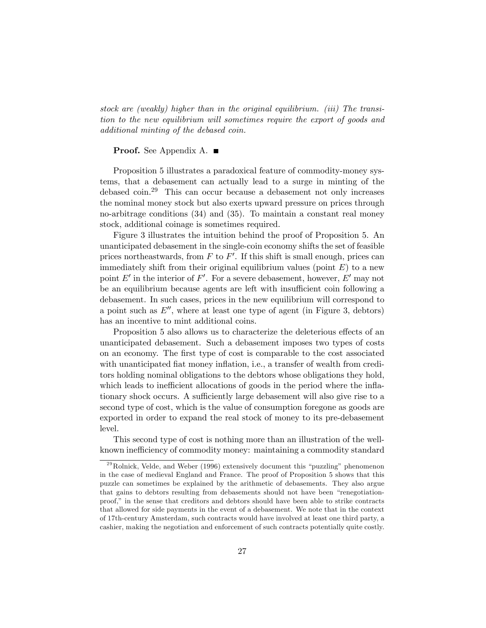stock are (weakly) higher than in the original equilibrium. (iii) The transition to the new equilibrium will sometimes require the export of goods and additional minting of the debased coin.

#### **Proof.** See Appendix A. ■

Proposition 5 illustrates a paradoxical feature of commodity-money systems, that a debasement can actually lead to a surge in minting of the debased coin.<sup>29</sup> This can occur because a debasement not only increases the nominal money stock but also exerts upward pressure on prices through no-arbitrage conditions (34) and (35). To maintain a constant real money stock, additional coinage is sometimes required.

Figure 3 illustrates the intuition behind the proof of Proposition 5. An unanticipated debasement in the single-coin economy shifts the set of feasible prices northeastwards, from  $F$  to  $F'$ . If this shift is small enough, prices can immediately shift from their original equilibrium values (point  $E$ ) to a new point E' in the interior of F'. For a severe debasement, however, E' may not be an equilibrium because agents are left with insufficient coin following a debasement. In such cases, prices in the new equilibrium will correspond to a point such as  $E''$ , where at least one type of agent (in Figure 3, debtors) has an incentive to mint additional coins.

Proposition 5 also allows us to characterize the deleterious effects of an unanticipated debasement. Such a debasement imposes two types of costs on an economy. The Örst type of cost is comparable to the cost associated with unanticipated flat money inflation, i.e., a transfer of wealth from creditors holding nominal obligations to the debtors whose obligations they hold, which leads to inefficient allocations of goods in the period where the inflationary shock occurs. A sufficiently large debasement will also give rise to a second type of cost, which is the value of consumption foregone as goods are exported in order to expand the real stock of money to its pre-debasement level.

This second type of cost is nothing more than an illustration of the wellknown inefficiency of commodity money: maintaining a commodity standard

 $^{29}$ Rolnick, Velde, and Weber (1996) extensively document this "puzzling" phenomenon in the case of medieval England and France. The proof of Proposition 5 shows that this puzzle can sometimes be explained by the arithmetic of debasements. They also argue that gains to debtors resulting from debasements should not have been "renegotiationproof," in the sense that creditors and debtors should have been able to strike contracts that allowed for side payments in the event of a debasement. We note that in the context of 17th-century Amsterdam, such contracts would have involved at least one third party, a cashier, making the negotiation and enforcement of such contracts potentially quite costly.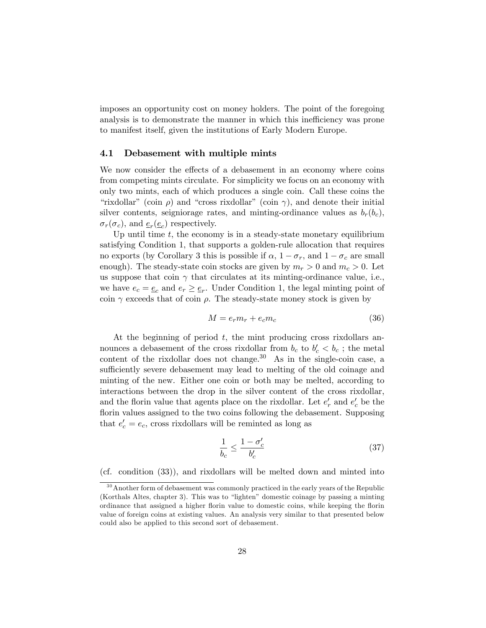imposes an opportunity cost on money holders. The point of the foregoing analysis is to demonstrate the manner in which this inefficiency was prone to manifest itself, given the institutions of Early Modern Europe.

#### 4.1 Debasement with multiple mints

We now consider the effects of a debasement in an economy where coins from competing mints circulate. For simplicity we focus on an economy with only two mints, each of which produces a single coin. Call these coins the "rixdollar" (coin  $\rho$ ) and "cross rixdollar" (coin  $\gamma$ ), and denote their initial silver contents, seigniorage rates, and minting-ordinance values as  $b_r(b_c)$ ,  $\sigma_r(\sigma_c)$ , and  $\underline{e}_r(\underline{e}_c)$  respectively.

Up until time  $t$ , the economy is in a steady-state monetary equilibrium satisfying Condition 1, that supports a golden-rule allocation that requires no exports (by Corollary 3 this is possible if  $\alpha$ ,  $1 - \sigma_r$ , and  $1 - \sigma_c$  are small enough). The steady-state coin stocks are given by  $m_r > 0$  and  $m_c > 0$ . Let us suppose that coin  $\gamma$  that circulates at its minting-ordinance value, i.e., we have  $e_c = \underline{e}_c$  and  $e_r \ge \underline{e}_r$ . Under Condition 1, the legal minting point of coin  $\gamma$  exceeds that of coin  $\rho$ . The steady-state money stock is given by

$$
M = e_r m_r + e_c m_c \tag{36}
$$

At the beginning of period  $t$ , the mint producing cross rixdollars announces a debasement of the cross rixdollar from  $b_c$  to  $b'_c < b_c$ ; the metal content of the rixdollar does not change.<sup>30</sup> As in the single-coin case, a sufficiently severe debasement may lead to melting of the old coinage and minting of the new. Either one coin or both may be melted, according to interactions between the drop in the silver content of the cross rixdollar, and the florin value that agents place on the rixdollar. Let  $e'_r$  and  $e'_c$  be the florin values assigned to the two coins following the debasement. Supposing that  $e'_{c} = e_{c}$ , cross rixdollars will be reminted as long as

$$
\frac{1}{b_c} \le \frac{1 - \sigma_c'}{b_c'}\tag{37}
$$

(cf. condition (33)), and rixdollars will be melted down and minted into

<sup>&</sup>lt;sup>30</sup> Another form of debasement was commonly practiced in the early years of the Republic (Korthals Altes, chapter 3). This was to "lighten" domestic coinage by passing a minting ordinance that assigned a higher florin value to domestic coins, while keeping the florin value of foreign coins at existing values. An analysis very similar to that presented below could also be applied to this second sort of debasement.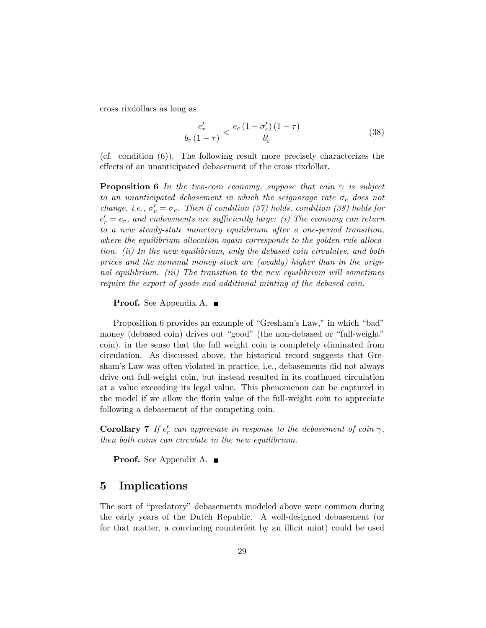cross rixdollars as long as

$$
\frac{e'_r}{b_r(1-\tau)} < \frac{e_c(1-\sigma'_c)(1-\tau)}{b'_c} \tag{38}
$$

(cf. condition (6)). The following result more precisely characterizes the effects of an unanticipated debasement of the cross rixdollar.

**Proposition 6** In the two-coin economy, suppose that coin  $\gamma$  is subject to an unanticipated debasement in which the seignorage rate  $\sigma_c$  does not change, i.e.,  $\sigma'_c = \sigma_c$ . Then if condition (37) holds, condition (38) holds for  $e_{r}' = e_{r}$ , and endowments are sufficiently large: (i) The economy can return to a new steady-state monetary equilibrium after a one-period transition, where the equilibrium allocation again corresponds to the golden-rule allocation. (ii) In the new equilibrium, only the debased coin circulates, and both prices and the nominal money stock are (weakly) higher than in the original equilibrium. (iii) The transition to the new equilibrium will sometimes require the export of goods and additional minting of the debased coin.

**Proof.** See Appendix A. ■

Proposition 6 provides an example of "Gresham's Law," in which "bad" money (debased coin) drives out "good" (the non-debased or "full-weight" coin), in the sense that the full weight coin is completely eliminated from circulation. As discussed above, the historical record suggests that Greshamís Law was often violated in practice, i.e., debasements did not always drive out full-weight coin, but instead resulted in its continued circulation at a value exceeding its legal value. This phenomenon can be captured in the model if we allow the florin value of the full-weight coin to appreciate following a debasement of the competing coin.

**Corollary 7** If  $e'_r$  can appreciate in response to the debasement of coin  $\gamma$ , then both coins can circulate in the new equilibrium.

**Proof.** See Appendix A. ■

### 5 Implications

The sort of "predatory" debasements modeled above were common during the early years of the Dutch Republic. A well-designed debasement (or for that matter, a convincing counterfeit by an illicit mint) could be used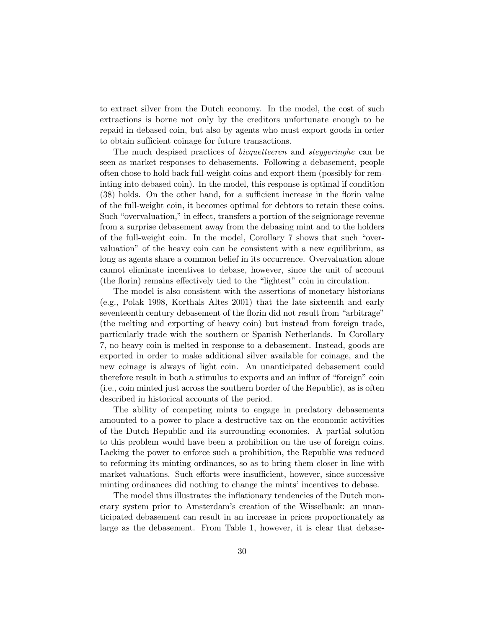to extract silver from the Dutch economy. In the model, the cost of such extractions is borne not only by the creditors unfortunate enough to be repaid in debased coin, but also by agents who must export goods in order to obtain sufficient coinage for future transactions.

The much despised practices of *bicquetteeren* and *steygeringhe* can be seen as market responses to debasements. Following a debasement, people often chose to hold back full-weight coins and export them (possibly for reminting into debased coin). In the model, this response is optimal if condition (38) holds. On the other hand, for a sufficient increase in the florin value of the full-weight coin, it becomes optimal for debtors to retain these coins. Such "overvaluation," in effect, transfers a portion of the seigniorage revenue from a surprise debasement away from the debasing mint and to the holders of the full-weight coin. In the model, Corollary  $7$  shows that such "overvaluationî of the heavy coin can be consistent with a new equilibrium, as long as agents share a common belief in its occurrence. Overvaluation alone cannot eliminate incentives to debase, however, since the unit of account (the florin) remains effectively tied to the "lightest" coin in circulation.

The model is also consistent with the assertions of monetary historians (e.g., Polak 1998, Korthals Altes 2001) that the late sixteenth and early seventeenth century debasement of the florin did not result from "arbitrage" (the melting and exporting of heavy coin) but instead from foreign trade, particularly trade with the southern or Spanish Netherlands. In Corollary 7, no heavy coin is melted in response to a debasement. Instead, goods are exported in order to make additional silver available for coinage, and the new coinage is always of light coin. An unanticipated debasement could therefore result in both a stimulus to exports and an influx of "foreign" coin (i.e., coin minted just across the southern border of the Republic), as is often described in historical accounts of the period.

The ability of competing mints to engage in predatory debasements amounted to a power to place a destructive tax on the economic activities of the Dutch Republic and its surrounding economies. A partial solution to this problem would have been a prohibition on the use of foreign coins. Lacking the power to enforce such a prohibition, the Republic was reduced to reforming its minting ordinances, so as to bring them closer in line with market valuations. Such efforts were insufficient, however, since successive minting ordinances did nothing to change the mints' incentives to debase.

The model thus illustrates the inflationary tendencies of the Dutch monetary system prior to Amsterdamís creation of the Wisselbank: an unanticipated debasement can result in an increase in prices proportionately as large as the debasement. From Table 1, however, it is clear that debase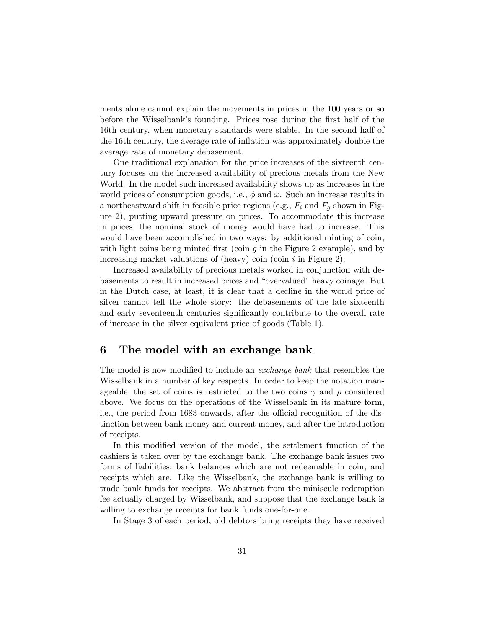ments alone cannot explain the movements in prices in the 100 years or so before the Wisselbank's founding. Prices rose during the first half of the 16th century, when monetary standards were stable. In the second half of the 16th century, the average rate of ináation was approximately double the average rate of monetary debasement.

One traditional explanation for the price increases of the sixteenth century focuses on the increased availability of precious metals from the New World. In the model such increased availability shows up as increases in the world prices of consumption goods, i.e.,  $\phi$  and  $\omega$ . Such an increase results in a northeastward shift in feasible price regions (e.g.,  $F_i$  and  $F_q$  shown in Figure 2), putting upward pressure on prices. To accommodate this increase in prices, the nominal stock of money would have had to increase. This would have been accomplished in two ways: by additional minting of coin, with light coins being minted first (coin  $g$  in the Figure 2 example), and by increasing market valuations of (heavy) coin (coin  $i$  in Figure 2).

Increased availability of precious metals worked in conjunction with debasements to result in increased prices and "overvalued" heavy coinage. But in the Dutch case, at least, it is clear that a decline in the world price of silver cannot tell the whole story: the debasements of the late sixteenth and early seventeenth centuries significantly contribute to the overall rate of increase in the silver equivalent price of goods (Table 1).

## 6 The model with an exchange bank

The model is now modified to include an *exchange bank* that resembles the Wisselbank in a number of key respects. In order to keep the notation manageable, the set of coins is restricted to the two coins  $\gamma$  and  $\rho$  considered above. We focus on the operations of the Wisselbank in its mature form, i.e., the period from 1683 onwards, after the official recognition of the distinction between bank money and current money, and after the introduction of receipts.

In this modified version of the model, the settlement function of the cashiers is taken over by the exchange bank. The exchange bank issues two forms of liabilities, bank balances which are not redeemable in coin, and receipts which are. Like the Wisselbank, the exchange bank is willing to trade bank funds for receipts. We abstract from the miniscule redemption fee actually charged by Wisselbank, and suppose that the exchange bank is willing to exchange receipts for bank funds one-for-one.

In Stage 3 of each period, old debtors bring receipts they have received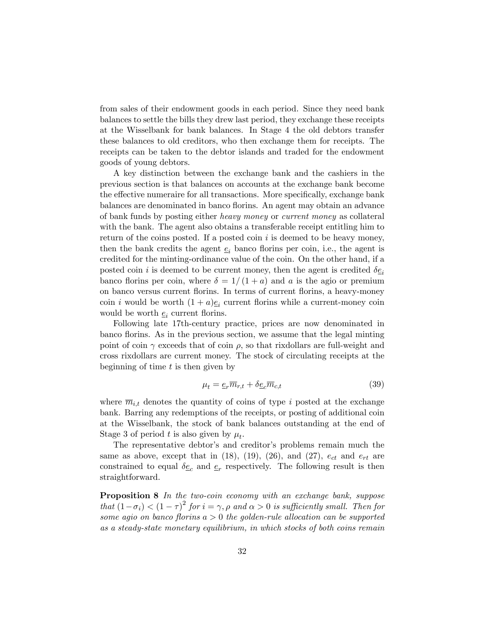from sales of their endowment goods in each period. Since they need bank balances to settle the bills they drew last period, they exchange these receipts at the Wisselbank for bank balances. In Stage 4 the old debtors transfer these balances to old creditors, who then exchange them for receipts. The receipts can be taken to the debtor islands and traded for the endowment goods of young debtors.

A key distinction between the exchange bank and the cashiers in the previous section is that balances on accounts at the exchange bank become the effective numeraire for all transactions. More specifically, exchange bank balances are denominated in banco florins. An agent may obtain an advance of bank funds by posting either heavy money or current money as collateral with the bank. The agent also obtains a transferable receipt entitling him to return of the coins posted. If a posted coin  $i$  is deemed to be heavy money, then the bank credits the agent  $e_i$  banco florins per coin, i.e., the agent is credited for the minting-ordinance value of the coin. On the other hand, if a posted coin i is deemed to be current money, then the agent is credited  $\delta \underline{e}_i$ banco florins per coin, where  $\delta = 1/(1 + a)$  and a is the agio or premium on banco versus current áorins. In terms of current áorins, a heavy-money coin *i* would be worth  $(1 + a)\underline{e}_i$  current florins while a current-money coin would be worth  $\underline{e}_i$  current florins.

Following late 17th-century practice, prices are now denominated in banco florins. As in the previous section, we assume that the legal minting point of coin  $\gamma$  exceeds that of coin  $\rho$ , so that rixdollars are full-weight and cross rixdollars are current money. The stock of circulating receipts at the beginning of time  $t$  is then given by

$$
\mu_t = \underline{e}_r \overline{m}_{r,t} + \delta \underline{e}_c \overline{m}_{c,t} \tag{39}
$$

where  $\overline{m}_{i,t}$  denotes the quantity of coins of type i posted at the exchange bank. Barring any redemptions of the receipts, or posting of additional coin at the Wisselbank, the stock of bank balances outstanding at the end of Stage 3 of period t is also given by  $\mu_t$ .

The representative debtor's and creditor's problems remain much the same as above, except that in (18), (19), (26), and (27),  $e_{ct}$  and  $e_{rt}$  are constrained to equal  $\delta \underline{e}_c$  and  $\underline{e}_r$  respectively. The following result is then straightforward.

Proposition 8 In the two-coin economy with an exchange bank, suppose that  $(1 - \sigma_i) < (1 - \tau)^2$  for  $i = \gamma$ ,  $\rho$  and  $\alpha > 0$  is sufficiently small. Then for some agio on banco florins  $a > 0$  the golden-rule allocation can be supported as a steady-state monetary equilibrium, in which stocks of both coins remain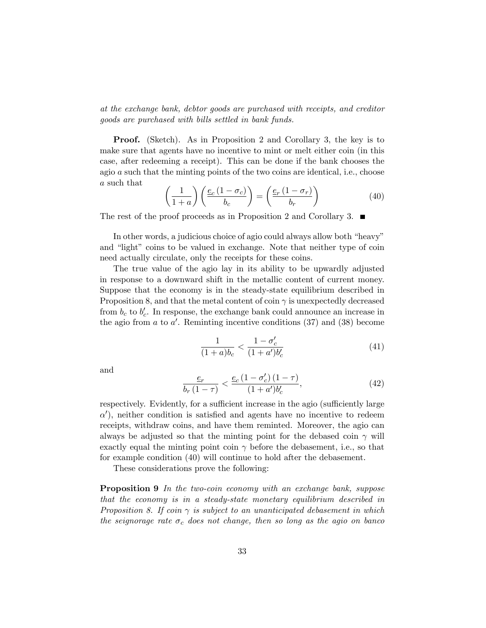at the exchange bank, debtor goods are purchased with receipts, and creditor goods are purchased with bills settled in bank funds.

**Proof.** (Sketch). As in Proposition 2 and Corollary 3, the key is to make sure that agents have no incentive to mint or melt either coin (in this case, after redeeming a receipt). This can be done if the bank chooses the agio a such that the minting points of the two coins are identical, i.e., choose a such that

$$
\left(\frac{1}{1+a}\right)\left(\frac{e_c(1-\sigma_c)}{b_c}\right) = \left(\frac{e_r(1-\sigma_r)}{b_r}\right) \tag{40}
$$

The rest of the proof proceeds as in Proposition 2 and Corollary 3.  $\blacksquare$ 

In other words, a judicious choice of agio could always allow both "heavy" and "light" coins to be valued in exchange. Note that neither type of coin need actually circulate, only the receipts for these coins.

The true value of the agio lay in its ability to be upwardly adjusted in response to a downward shift in the metallic content of current money. Suppose that the economy is in the steady-state equilibrium described in Proposition 8, and that the metal content of coin  $\gamma$  is unexpectedly decreased from  $b_c$  to  $b'_c$ . In response, the exchange bank could announce an increase in the agio from  $a$  to  $a'$ . Reminting incentive conditions  $(37)$  and  $(38)$  become

$$
\frac{1}{(1+a)b_c} < \frac{1 - \sigma_c'}{(1 + a')b_c'}\tag{41}
$$

and

$$
\frac{e_r}{b_r(1-\tau)} < \frac{e_c(1-\sigma_c)(1-\tau)}{(1+a')b_c'},\tag{42}
$$

respectively. Evidently, for a sufficient increase in the agio (sufficiently large  $\alpha'$ ), neither condition is satisfied and agents have no incentive to redeem receipts, withdraw coins, and have them reminted. Moreover, the agio can always be adjusted so that the minting point for the debased coin  $\gamma$  will exactly equal the minting point coin  $\gamma$  before the debasement, i.e., so that for example condition (40) will continue to hold after the debasement.

These considerations prove the following:

Proposition 9 In the two-coin economy with an exchange bank, suppose that the economy is in a steady-state monetary equilibrium described in Proposition 8. If coin  $\gamma$  is subject to an unanticipated debasement in which the seignorage rate  $\sigma_c$  does not change, then so long as the agio on banco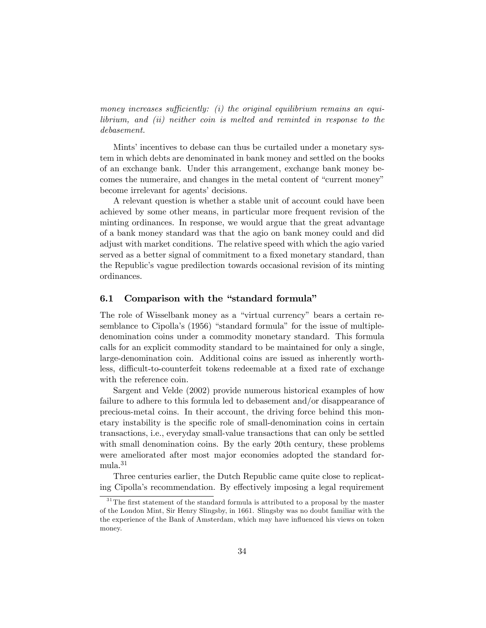money increases sufficiently: (i) the original equilibrium remains an equilibrium, and (ii) neither coin is melted and reminted in response to the debasement.

Mints' incentives to debase can thus be curtailed under a monetary system in which debts are denominated in bank money and settled on the books of an exchange bank. Under this arrangement, exchange bank money becomes the numeraire, and changes in the metal content of "current money" become irrelevant for agents' decisions.

A relevant question is whether a stable unit of account could have been achieved by some other means, in particular more frequent revision of the minting ordinances. In response, we would argue that the great advantage of a bank money standard was that the agio on bank money could and did adjust with market conditions. The relative speed with which the agio varied served as a better signal of commitment to a fixed monetary standard, than the Republicís vague predilection towards occasional revision of its minting ordinances.

#### 6.1 Comparison with the "standard formula"

The role of Wisselbank money as a "virtual currency" bears a certain resemblance to Cipolla's (1956) "standard formula" for the issue of multipledenomination coins under a commodity monetary standard. This formula calls for an explicit commodity standard to be maintained for only a single, large-denomination coin. Additional coins are issued as inherently worthless, difficult-to-counterfeit tokens redeemable at a fixed rate of exchange with the reference coin.

Sargent and Velde (2002) provide numerous historical examples of how failure to adhere to this formula led to debasement and/or disappearance of precious-metal coins. In their account, the driving force behind this monetary instability is the specific role of small-denomination coins in certain transactions, i.e., everyday small-value transactions that can only be settled with small denomination coins. By the early 20th century, these problems were ameliorated after most major economies adopted the standard for- $_{\rm {mula.}}^{31}$ 

Three centuries earlier, the Dutch Republic came quite close to replicating Cipolla's recommendation. By effectively imposing a legal requirement

 $31$ <sup>31</sup> The first statement of the standard formula is attributed to a proposal by the master of the London Mint, Sir Henry Slingsby, in 1661. Slingsby was no doubt familiar with the the experience of the Bank of Amsterdam, which may have influenced his views on token money.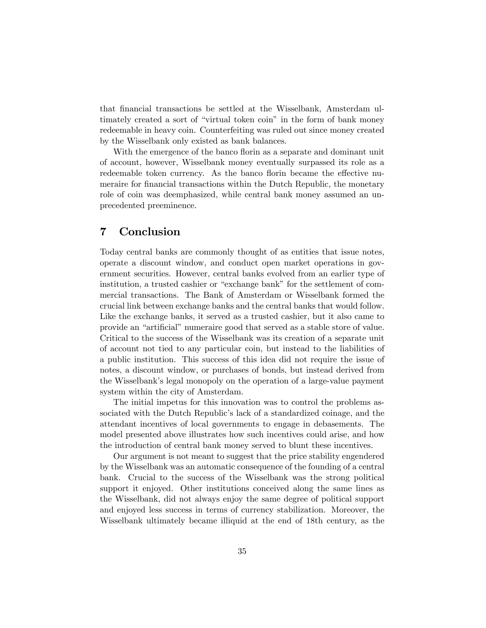that financial transactions be settled at the Wisselbank, Amsterdam ultimately created a sort of "virtual token coin" in the form of bank money redeemable in heavy coin. Counterfeiting was ruled out since money created by the Wisselbank only existed as bank balances.

With the emergence of the banco florin as a separate and dominant unit of account, however, Wisselbank money eventually surpassed its role as a redeemable token currency. As the banco florin became the effective numeraire for financial transactions within the Dutch Republic, the monetary role of coin was deemphasized, while central bank money assumed an unprecedented preeminence.

# 7 Conclusion

Today central banks are commonly thought of as entities that issue notes, operate a discount window, and conduct open market operations in government securities. However, central banks evolved from an earlier type of institution, a trusted cashier or "exchange bank" for the settlement of commercial transactions. The Bank of Amsterdam or Wisselbank formed the crucial link between exchange banks and the central banks that would follow. Like the exchange banks, it served as a trusted cashier, but it also came to provide an "artificial" numeraire good that served as a stable store of value. Critical to the success of the Wisselbank was its creation of a separate unit of account not tied to any particular coin, but instead to the liabilities of a public institution. This success of this idea did not require the issue of notes, a discount window, or purchases of bonds, but instead derived from the Wisselbank's legal monopoly on the operation of a large-value payment system within the city of Amsterdam.

The initial impetus for this innovation was to control the problems associated with the Dutch Republic's lack of a standardized coinage, and the attendant incentives of local governments to engage in debasements. The model presented above illustrates how such incentives could arise, and how the introduction of central bank money served to blunt these incentives.

Our argument is not meant to suggest that the price stability engendered by the Wisselbank was an automatic consequence of the founding of a central bank. Crucial to the success of the Wisselbank was the strong political support it enjoyed. Other institutions conceived along the same lines as the Wisselbank, did not always enjoy the same degree of political support and enjoyed less success in terms of currency stabilization. Moreover, the Wisselbank ultimately became illiquid at the end of 18th century, as the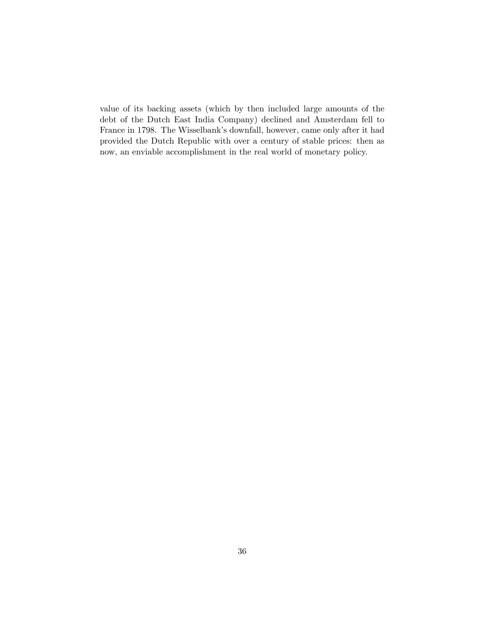value of its backing assets (which by then included large amounts of the debt of the Dutch East India Company) declined and Amsterdam fell to France in 1798. The Wisselbank's downfall, however, came only after it had provided the Dutch Republic with over a century of stable prices: then as now, an enviable accomplishment in the real world of monetary policy.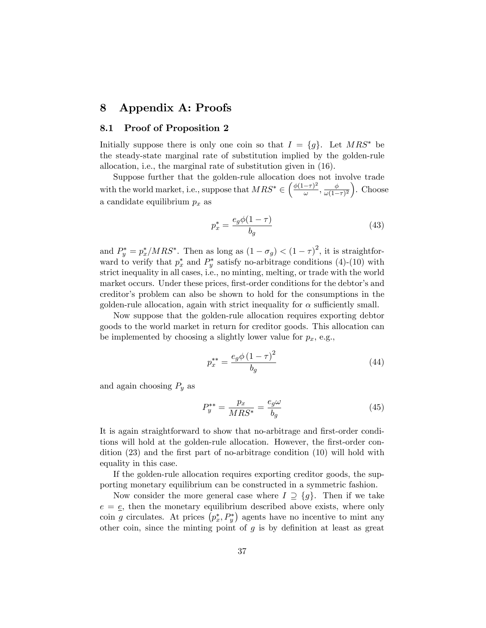# 8 Appendix A: Proofs

#### 8.1 Proof of Proposition 2

Initially suppose there is only one coin so that  $I = \{g\}$ . Let  $MRS^*$  be the steady-state marginal rate of substitution implied by the golden-rule allocation, i.e., the marginal rate of substitution given in (16).

Suppose further that the golden-rule allocation does not involve trade with the world market, i.e., suppose that  $MRS^* \in \left(\frac{\phi(1-\tau)^2}{\omega}\right)$  $\frac{(-\tau)^2}{\omega}, \frac{\phi}{\omega(1-\tau)}$  $\frac{\phi}{\omega(1-\tau)^2}$ . Choose a candidate equilibrium  $p_x$  as

$$
p_x^* = \frac{e_g \phi (1 - \tau)}{b_g} \tag{43}
$$

and  $P_y^* = p_x^* / MRS^*$ . Then as long as  $(1 - \sigma_g) < (1 - \tau)^2$ , it is straightforward to verify that  $p_x^*$  and  $P_y^*$  satisfy no-arbitrage conditions (4)-(10) with strict inequality in all cases, i.e., no minting, melting, or trade with the world market occurs. Under these prices, first-order conditions for the debtor's and creditorís problem can also be shown to hold for the consumptions in the golden-rule allocation, again with strict inequality for  $\alpha$  sufficiently small.

Now suppose that the golden-rule allocation requires exporting debtor goods to the world market in return for creditor goods. This allocation can be implemented by choosing a slightly lower value for  $p_x$ , e.g.,

$$
p_x^{**} = \frac{e_g \phi (1 - \tau)^2}{b_g} \tag{44}
$$

and again choosing  $P_y$  as

$$
P_y^{**} = \frac{p_x}{MRS^*} = \frac{e_g \omega}{b_g} \tag{45}
$$

It is again straightforward to show that no-arbitrage and first-order conditions will hold at the golden-rule allocation. However, the first-order condition  $(23)$  and the first part of no-arbitrage condition  $(10)$  will hold with equality in this case.

If the golden-rule allocation requires exporting creditor goods, the supporting monetary equilibrium can be constructed in a symmetric fashion.

Now consider the more general case where  $I \supseteq \{g\}$ . Then if we take  $e = \underline{e}$ , then the monetary equilibrium described above exists, where only coin g circulates. At prices  $(p_x^*, P_y^*)$  agents have no incentive to mint any other coin, since the minting point of  $g$  is by definition at least as great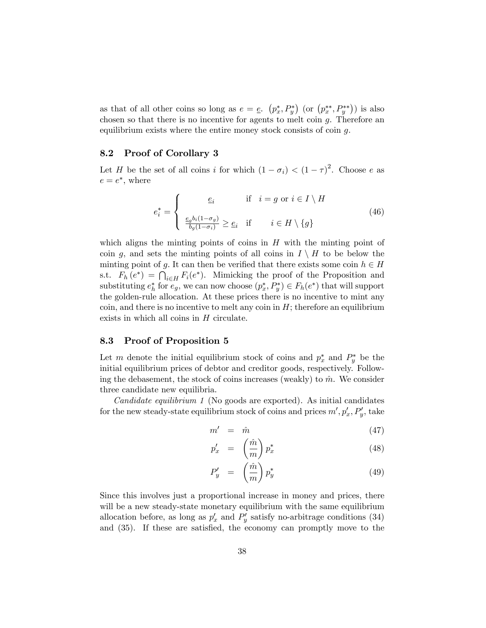as that of all other coins so long as  $e = e \cdot (p_x^*, P_y^*)$  (or  $(p_x^{**}, P_y^{**})$ ) is also chosen so that there is no incentive for agents to melt coin  $g$ . Therefore an equilibrium exists where the entire money stock consists of coin g.

#### 8.2 Proof of Corollary 3

Let H be the set of all coins i for which  $(1 - \sigma_i) < (1 - \tau)^2$ . Choose e as  $e = e^*$ , where

$$
e_i^* = \begin{cases} \underline{e}_i & \text{if } i = g \text{ or } i \in I \setminus H \\ \underline{e_g b_i (1 - \sigma_g)} \ge \underline{e}_i & \text{if } i \in H \setminus \{g\} \end{cases}
$$
(46)

which aligns the minting points of coins in  $H$  with the minting point of coin g, and sets the minting points of all coins in  $I \setminus H$  to be below the minting point of g. It can then be verified that there exists some coin  $h \in H$ s.t.  $F_h(e^*) = \bigcap_{i \in H} F_i(e^*)$ . Mimicking the proof of the Proposition and substituting  $e_h^*$  for  $e_g$ , we can now choose  $(p_x^*, P_y^*) \in F_h(e^*)$  that will support the golden-rule allocation. At these prices there is no incentive to mint any coin, and there is no incentive to melt any coin in  $H$ ; therefore an equilibrium exists in which all coins in  $H$  circulate.

#### 8.3 Proof of Proposition 5

Let m denote the initial equilibrium stock of coins and  $p_x^*$  and  $P_y^*$  be the initial equilibrium prices of debtor and creditor goods, respectively. Following the debasement, the stock of coins increases (weakly) to  $\hat{m}$ . We consider three candidate new equilibria.

Candidate equilibrium 1 (No goods are exported). As initial candidates for the new steady-state equilibrium stock of coins and prices  $m', p'_x, P'_y$ , take

$$
m' = \hat{m} \tag{47}
$$

$$
p'_x = \left(\frac{\hat{m}}{m}\right) p_x^* \tag{48}
$$

$$
P'_y = \left(\frac{\hat{m}}{m}\right) p_y^* \tag{49}
$$

Since this involves just a proportional increase in money and prices, there will be a new steady-state monetary equilibrium with the same equilibrium allocation before, as long as  $p'_x$  and  $P'_y$  satisfy no-arbitrage conditions (34) and  $(35)$ . If these are satisfied, the economy can promptly move to the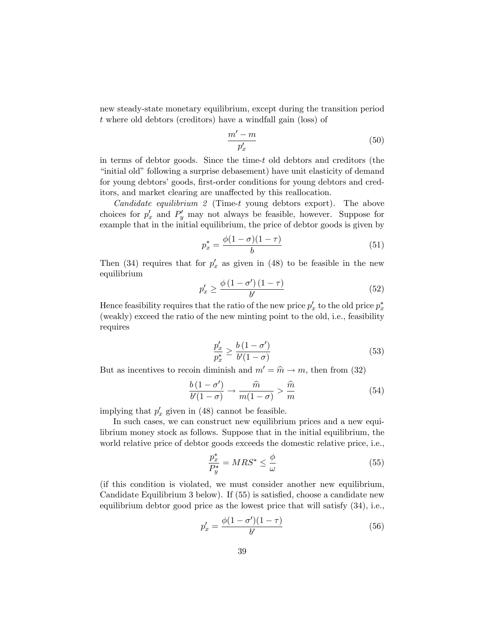new steady-state monetary equilibrium, except during the transition period t where old debtors (creditors) have a windfall gain (loss) of

$$
\frac{m'-m}{p'_x} \tag{50}
$$

in terms of debtor goods. Since the time-t old debtors and creditors (the initial old" following a surprise debasement) have unit elasticity of demand for young debtors' goods, first-order conditions for young debtors and creditors, and market clearing are unaffected by this reallocation.

*Candidate equilibrium 2* (Time-t young debtors export). The above choices for  $p'_x$  and  $P'_y$  may not always be feasible, however. Suppose for example that in the initial equilibrium, the price of debtor goods is given by

$$
p_x^* = \frac{\phi(1-\sigma)(1-\tau)}{b}
$$
 (51)

Then (34) requires that for  $p'_x$  as given in (48) to be feasible in the new equilibrium

$$
p_x' \ge \frac{\phi\left(1 - \sigma'\right)\left(1 - \tau\right)}{b'}\tag{52}
$$

Hence feasibility requires that the ratio of the new price  $p'_x$  to the old price  $p_x^*$ (weakly) exceed the ratio of the new minting point to the old, i.e., feasibility requires

$$
\frac{p_x'}{p_x^*} \ge \frac{b(1 - \sigma')}{b'(1 - \sigma)}\tag{53}
$$

But as incentives to recoin diminish and  $m' = \hat{m} \rightarrow m$ , then from (32)

$$
\frac{b(1-\sigma')}{b'(1-\sigma)} \to \frac{\widehat{m}}{m(1-\sigma)} > \frac{\widehat{m}}{m} \tag{54}
$$

implying that  $p'_x$  given in (48) cannot be feasible.

In such cases, we can construct new equilibrium prices and a new equilibrium money stock as follows. Suppose that in the initial equilibrium, the world relative price of debtor goods exceeds the domestic relative price, i.e.,

$$
\frac{p_x^*}{P_y^*} = MRS^* \le \frac{\phi}{\omega} \tag{55}
$$

(if this condition is violated, we must consider another new equilibrium, Candidate Equilibrium  $3$  below). If  $(55)$  is satisfied, choose a candidate new equilibrium debtor good price as the lowest price that will satisfy (34), i.e.,

$$
p'_x = \frac{\phi(1 - \sigma')(1 - \tau)}{b'}
$$
\n(56)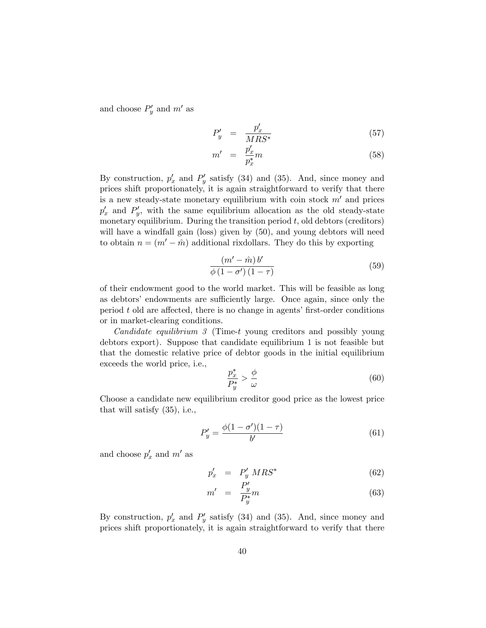and choose  $P'_y$  and  $m'$  as

$$
P'_y = \frac{p'_x}{MRS^*} \tag{57}
$$

$$
m' = \frac{p_x'}{p_x^*}m \tag{58}
$$

By construction,  $p'_x$  and  $P'_y$  satisfy (34) and (35). And, since money and prices shift proportionately, it is again straightforward to verify that there is a new steady-state monetary equilibrium with coin stock  $m'$  and prices  $p'_x$  and  $P'_y$ , with the same equilibrium allocation as the old steady-state monetary equilibrium. During the transition period  $t$ , old debtors (creditors) will have a windfall gain (loss) given by  $(50)$ , and young debtors will need to obtain  $n = (m' - \hat{m})$  additional rixdollars. They do this by exporting

$$
\frac{\left(m'-\hat{m}\right)b'}{\phi\left(1-\sigma'\right)\left(1-\tau\right)}\tag{59}
$$

of their endowment good to the world market. This will be feasible as long as debtors' endowments are sufficiently large. Once again, since only the period  $t$  old are affected, there is no change in agents' first-order conditions or in market-clearing conditions.

Candidate equilibrium 3 (Time-t young creditors and possibly young debtors export). Suppose that candidate equilibrium 1 is not feasible but that the domestic relative price of debtor goods in the initial equilibrium exceeds the world price, i.e.,

$$
\frac{p_x^*}{P_y^*} > \frac{\phi}{\omega} \tag{60}
$$

Choose a candidate new equilibrium creditor good price as the lowest price that will satisfy (35), i.e.,

$$
P'_y = \frac{\phi(1 - \sigma')(1 - \tau)}{b'}
$$
 (61)

and choose  $p'_x$  and  $m'$  as

$$
p'_x = P'_y MRS^* \tag{62}
$$

$$
m' = \frac{P'_y}{P^*_y}m\tag{63}
$$

By construction,  $p'_x$  and  $P'_y$  satisfy (34) and (35). And, since money and prices shift proportionately, it is again straightforward to verify that there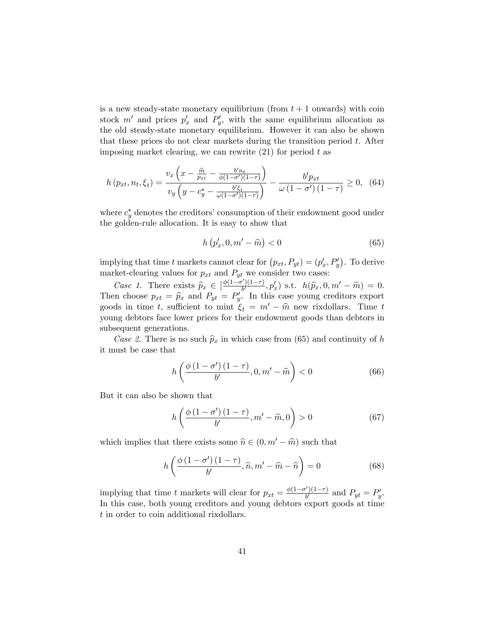is a new steady-state monetary equilibrium (from  $t + 1$  onwards) with coin stock m' and prices  $p'_x$  and  $P'_y$ , with the same equilibrium allocation as the old steady-state monetary equilibrium. However it can also be shown that these prices do not clear markets during the transition period t. After imposing market clearing, we can rewrite  $(21)$  for period t as

$$
h(p_{xt}, n_t, \xi_t) = \frac{v_x \left(x - \frac{\hat{m}}{p_{xt}} - \frac{b'n_t}{\phi(1 - \sigma')(1 - \tau)}\right)}{v_y \left(y - c_y^* - \frac{b'\xi_t}{\omega(1 - \sigma')(1 - \tau)}\right)} - \frac{b'p_{xt}}{\omega(1 - \sigma')(1 - \tau)} \ge 0, \quad (64)
$$

where  $c_y^*$  denotes the creditors' consumption of their endowment good under the golden-rule allocation. It is easy to show that

$$
h\left(p_x', 0, m' - \widehat{m}\right) < 0\tag{65}
$$

implying that time t markets cannot clear for  $(p_{xt}, P_{yt}) = (p'_x, P'_y)$ . To derive market-clearing values for  $p_{xt}$  and  $P_{yt}$  we consider two cases:

Case 1. There exists  $\widehat{p}_x \in \left[\frac{\phi(1-\sigma')(1-\tau)}{b'}, p'_x\right]$  s.t.  $h(\widehat{p}_x, 0, m' - \widehat{m}) = 0$ . Then choose  $p_{xt} = \widehat{p}_x$  and  $P_{yt} = P'_y$ . In this case young creditors export goods in time t, sufficient to mint  $\xi_t = m' - \hat{m}$  new rixdollars. Time t young debtors face lower prices for their endowment goods than debtors in subsequent generations.

Case 2. There is no such  $\hat{p}_x$  in which case from (65) and continuity of h it must be case that

$$
h\left(\frac{\phi\left(1-\sigma'\right)\left(1-\tau\right)}{b'}, 0, m'-\widehat{m}\right) < 0\tag{66}
$$

But it can also be shown that

$$
h\left(\frac{\phi\left(1-\sigma'\right)\left(1-\tau\right)}{b'}, m'-\widehat{m}, 0\right) > 0\tag{67}
$$

which implies that there exists some  $\hat{n} \in (0, m' - \hat{m})$  such that

$$
h\left(\frac{\phi\left(1-\sigma'\right)\left(1-\tau\right)}{b'},\widehat{n},m'-\widehat{m}-\widehat{n}\right)=0\tag{68}
$$

implying that time t markets will clear for  $p_{xt} = \frac{\phi(1-\sigma')(1-\tau)}{b'}$  and  $P_{yt} = P'_y$ . In this case, both young creditors and young debtors export goods at time t in order to coin additional rixdollars.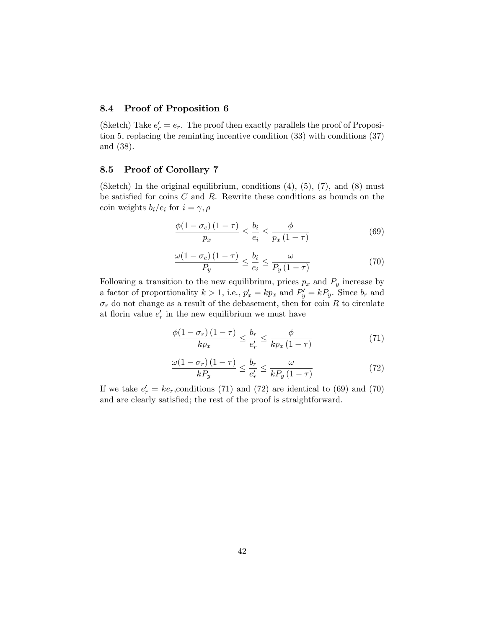#### 8.4 Proof of Proposition 6

(Sketch) Take  $e'_r = e_r$ . The proof then exactly parallels the proof of Proposition 5, replacing the reminting incentive condition (33) with conditions (37) and (38).

#### 8.5 Proof of Corollary 7

(Sketch) In the original equilibrium, conditions  $(4)$ ,  $(5)$ ,  $(7)$ , and  $(8)$  must be satisfied for coins  $C$  and  $R$ . Rewrite these conditions as bounds on the coin weights  $b_i/e_i$  for  $i = \gamma, \rho$ 

$$
\frac{\phi(1-\sigma_c)(1-\tau)}{p_x} \le \frac{b_i}{e_i} \le \frac{\phi}{p_x(1-\tau)}
$$
(69)

$$
\frac{\omega(1-\sigma_c)(1-\tau)}{P_y} \le \frac{b_i}{e_i} \le \frac{\omega}{P_y(1-\tau)}
$$
(70)

Following a transition to the new equilibrium, prices  $p_x$  and  $P_y$  increase by a factor of proportionality  $k > 1$ , i.e.,  $p'_x = kp_x$  and  $P'_y = kP_y$ . Since  $b_r$  and  $\sigma_r$  do not change as a result of the debasement, then for coin R to circulate at florin value  $e'_r$  in the new equilibrium we must have

$$
\frac{\phi(1-\sigma_r)(1-\tau)}{kp_x} \le \frac{b_r}{e'_r} \le \frac{\phi}{kp_x(1-\tau)}
$$
(71)

$$
\frac{\omega(1-\sigma_r)(1-\tau)}{kP_y} \le \frac{b_r}{e'_r} \le \frac{\omega}{kP_y(1-\tau)}
$$
(72)

If we take  $e'_r = ke_r$ , conditions (71) and (72) are identical to (69) and (70) and are clearly satisfied; the rest of the proof is straightforward.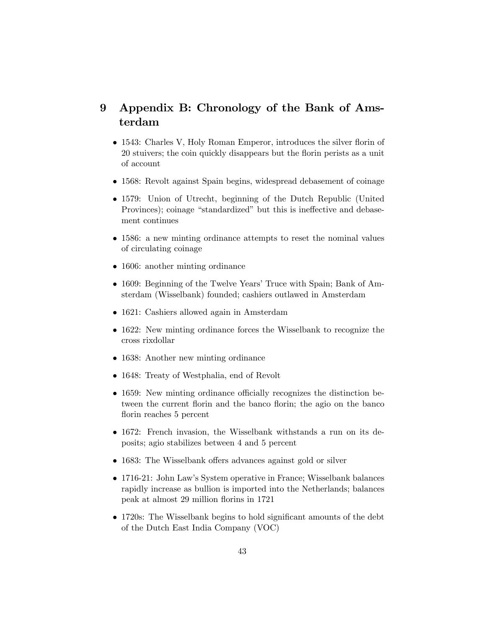# 9 Appendix B: Chronology of the Bank of Amsterdam

- 1543: Charles V, Holy Roman Emperor, introduces the silver florin of 20 stuivers; the coin quickly disappears but the florin perists as a unit of account
- 1568: Revolt against Spain begins, widespread debasement of coinage
- 1579: Union of Utrecht, beginning of the Dutch Republic (United Provinces); coinage "standardized" but this is ineffective and debasement continues
- 1586: a new minting ordinance attempts to reset the nominal values of circulating coinage
- 1606: another minting ordinance
- 1609: Beginning of the Twelve Years' Truce with Spain; Bank of Amsterdam (Wisselbank) founded; cashiers outlawed in Amsterdam
- 1621: Cashiers allowed again in Amsterdam
- 1622: New minting ordinance forces the Wisselbank to recognize the cross rixdollar
- 1638: Another new minting ordinance
- 1648: Treaty of Westphalia, end of Revolt
- $\bullet$  1659: New minting ordinance officially recognizes the distinction between the current florin and the banco florin; the agio on the banco florin reaches 5 percent
- 1672: French invasion, the Wisselbank withstands a run on its deposits; agio stabilizes between 4 and 5 percent
- 1683: The Wisselbank offers advances against gold or silver
- 1716-21: John Law's System operative in France; Wisselbank balances rapidly increase as bullion is imported into the Netherlands; balances peak at almost 29 million áorins in 1721
- $\bullet$  1720s: The Wisselbank begins to hold significant amounts of the debt of the Dutch East India Company (VOC)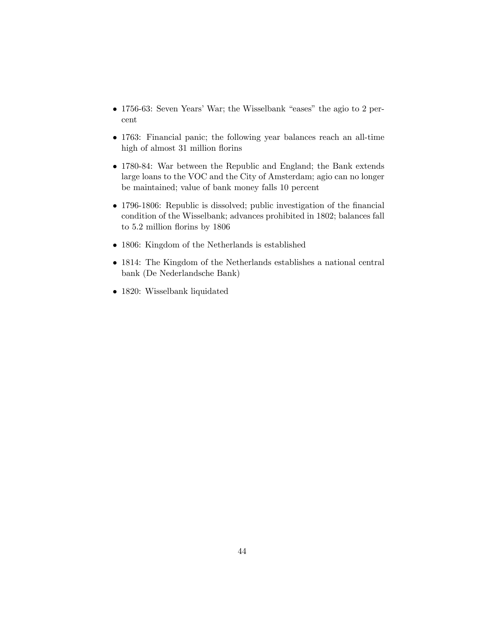- $\bullet$  1756-63: Seven Years' War; the Wisselbank "eases" the agio to 2 percent
- 1763: Financial panic; the following year balances reach an all-time high of almost 31 million florins
- 1780-84: War between the Republic and England; the Bank extends large loans to the VOC and the City of Amsterdam; agio can no longer be maintained; value of bank money falls 10 percent
- 1796-1806: Republic is dissolved; public investigation of the financial condition of the Wisselbank; advances prohibited in 1802; balances fall to 5.2 million florins by 1806
- 1806: Kingdom of the Netherlands is established
- 1814: The Kingdom of the Netherlands establishes a national central bank (De Nederlandsche Bank)
- 1820: Wisselbank liquidated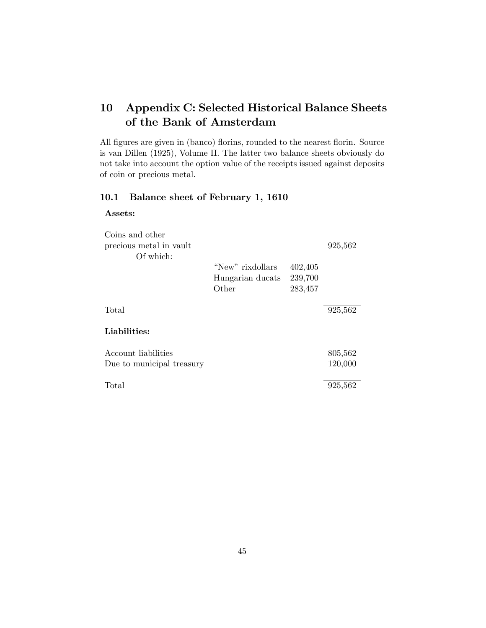# 10 Appendix C: Selected Historical Balance Sheets of the Bank of Amsterdam

All figures are given in (banco) florins, rounded to the nearest florin. Source is van Dillen (1925), Volume II. The latter two balance sheets obviously do not take into account the option value of the receipts issued against deposits of coin or precious metal.

# 10.1 Balance sheet of February 1, 1610

#### Assets:

| Coins and other           |                  |         |         |
|---------------------------|------------------|---------|---------|
| precious metal in vault   |                  |         | 925,562 |
| Of which:                 |                  |         |         |
|                           | "New" rixdollars | 402,405 |         |
|                           | Hungarian ducats | 239,700 |         |
|                           | Other            | 283,457 |         |
| Total                     |                  |         | 925,562 |
| Liabilities:              |                  |         |         |
| Account liabilities       |                  |         | 805,562 |
| Due to municipal treasury |                  |         | 120,000 |
| Total                     |                  |         | 925,562 |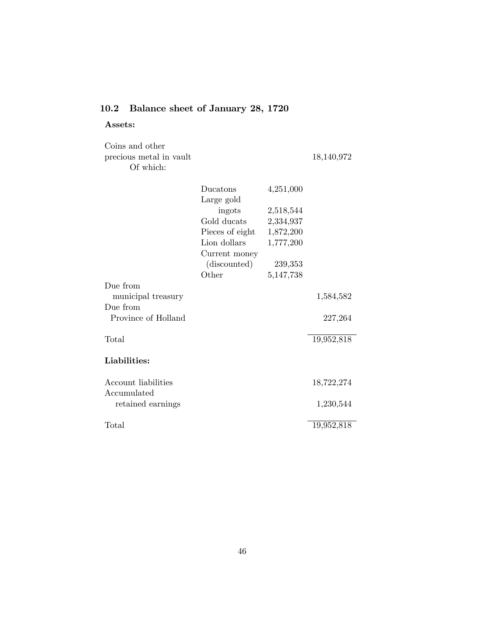# 10.2 Balance sheet of January 28, 1720

Assets:

| Coins and other<br>precious metal in vault<br>Of which: |                 |           | 18,140,972 |
|---------------------------------------------------------|-----------------|-----------|------------|
|                                                         | Ducatons        | 4,251,000 |            |
|                                                         | Large gold      |           |            |
|                                                         | ingots          | 2,518,544 |            |
|                                                         | Gold ducats     | 2,334,937 |            |
|                                                         | Pieces of eight | 1,872,200 |            |
|                                                         | Lion dollars    | 1,777,200 |            |
|                                                         | Current money   |           |            |
|                                                         | (discounted)    | 239,353   |            |
|                                                         | Other           | 5,147,738 |            |
| Due from                                                |                 |           |            |
| municipal treasury                                      |                 |           | 1,584,582  |
| Due from                                                |                 |           |            |
| Province of Holland                                     |                 |           | 227,264    |
|                                                         |                 |           |            |
| Total                                                   |                 |           | 19,952,818 |
| Liabilities:                                            |                 |           |            |
|                                                         |                 |           |            |
| Account liabilities                                     |                 |           | 18,722,274 |
| Accumulated                                             |                 |           |            |
| retained earnings                                       |                 |           | 1,230,544  |
|                                                         |                 |           |            |
| Total                                                   |                 |           | 19,952,818 |
|                                                         |                 |           |            |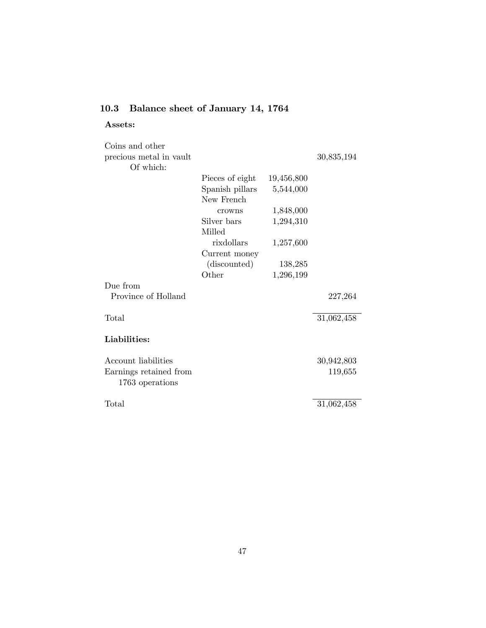# 10.3 Balance sheet of January 14, 1764

# Assets:

| Coins and other                           |                  |            |            |
|-------------------------------------------|------------------|------------|------------|
| precious metal in vault                   |                  |            | 30,835,194 |
| Of which:                                 |                  |            |            |
|                                           | Pieces of eight  | 19,456,800 |            |
|                                           | Spanish pillars  | 5,544,000  |            |
|                                           | New French       |            |            |
|                                           | crowns           | 1,848,000  |            |
|                                           | Silver bars      | 1,294,310  |            |
|                                           | Milled           |            |            |
|                                           | rixdollars       | 1,257,600  |            |
|                                           | Current money    |            |            |
|                                           | (discounted)     | 138,285    |            |
|                                           | $\mathrm{Other}$ | 1,296,199  |            |
| Due from                                  |                  |            |            |
| Province of Holland                       |                  |            | 227,264    |
| Total                                     |                  |            | 31,062,458 |
| Liabilities:                              |                  |            |            |
| Account liabilities                       |                  |            | 30,942,803 |
| Earnings retained from<br>1763 operations |                  |            | 119,655    |
|                                           |                  |            |            |
| Total                                     |                  |            | 31,062,458 |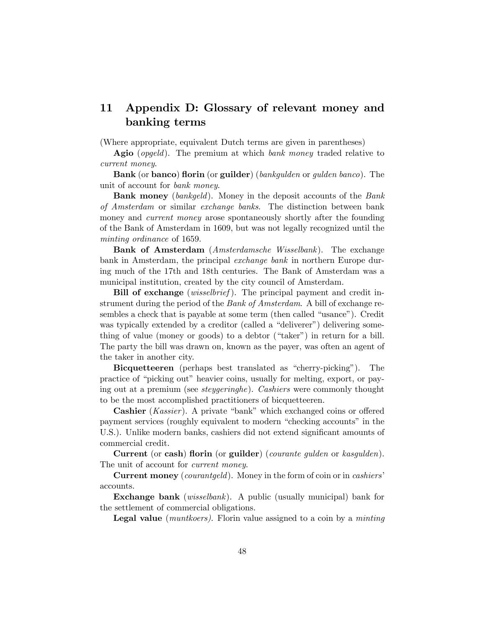# 11 Appendix D: Glossary of relevant money and banking terms

(Where appropriate, equivalent Dutch terms are given in parentheses)

Agio (*opgeld*). The premium at which *bank money* traded relative to current money.

Bank (or banco) florin (or guilder) (bankgulden or gulden banco). The unit of account for bank money.

Bank money (bankgeld). Money in the deposit accounts of the Bank of Amsterdam or similar exchange banks. The distinction between bank money and *current money* arose spontaneously shortly after the founding of the Bank of Amsterdam in 1609, but was not legally recognized until the minting ordinance of 1659.

Bank of Amsterdam (Amsterdamsche Wisselbank). The exchange bank in Amsterdam, the principal exchange bank in northern Europe during much of the 17th and 18th centuries. The Bank of Amsterdam was a municipal institution, created by the city council of Amsterdam.

Bill of exchange (*wisselbrief*). The principal payment and credit instrument during the period of the *Bank of Amsterdam*. A bill of exchange resembles a check that is payable at some term (then called "usance"). Credit was typically extended by a creditor (called a "deliverer") delivering something of value (money or goods) to a debtor ("taker") in return for a bill. The party the bill was drawn on, known as the payer, was often an agent of the taker in another city.

Bicquetteeren (perhaps best translated as "cherry-picking"). The practice of "picking out" heavier coins, usually for melting, export, or paying out at a premium (see steygeringhe). Cashiers were commonly thought to be the most accomplished practitioners of bicquetteeren.

**Cashier** (*Kassier*). A private "bank" which exchanged coins or offered payment services (roughly equivalent to modern "checking accounts" in the U.S.). Unlike modern banks, cashiers did not extend significant amounts of commercial credit.

Current (or cash) florin (or guilder) (*courante guiden* or  $kasgulden$ ). The unit of account for *current money*.

**Current money** (courantgeld). Money in the form of coin or in cashiers' accounts.

Exchange bank (wisselbank). A public (usually municipal) bank for the settlement of commercial obligations.

**Legal value** (*muntkoers*). Florin value assigned to a coin by a *minting*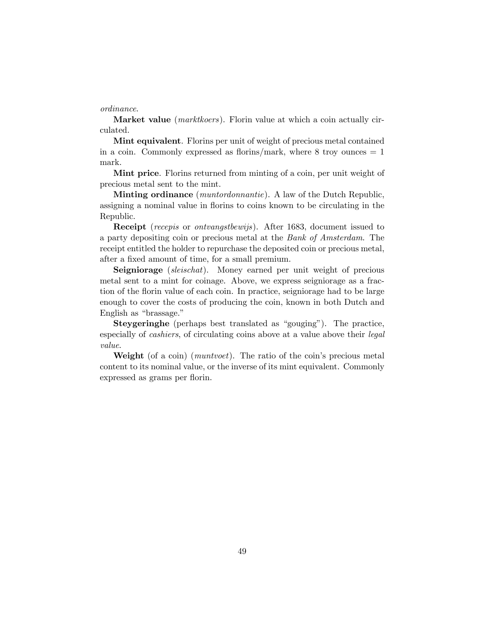#### ordinance.

**Market value** (*marktkoers*). Florin value at which a coin actually circulated.

Mint equivalent. Florins per unit of weight of precious metal contained in a coin. Commonly expressed as florins/mark, where  $8 \text{ troy ounces} = 1$ mark.

Mint price. Florins returned from minting of a coin, per unit weight of precious metal sent to the mint.

**Minting ordinance** (*muntordonnantie*). A law of the Dutch Republic, assigning a nominal value in florins to coins known to be circulating in the Republic.

Receipt (recepis or ontvangstbewijs). After 1683, document issued to a party depositing coin or precious metal at the Bank of Amsterdam. The receipt entitled the holder to repurchase the deposited coin or precious metal, after a fixed amount of time, for a small premium.

Seigniorage (sleischat). Money earned per unit weight of precious metal sent to a mint for coinage. Above, we express seigniorage as a fraction of the florin value of each coin. In practice, seigniorage had to be large enough to cover the costs of producing the coin, known in both Dutch and English as "brassage."

**Steygeringhe** (perhaps best translated as "gouging"). The practice, especially of cashiers, of circulating coins above at a value above their legal value.

**Weight** (of a coin) (*muntvoet*). The ratio of the coin's precious metal content to its nominal value, or the inverse of its mint equivalent. Commonly expressed as grams per florin.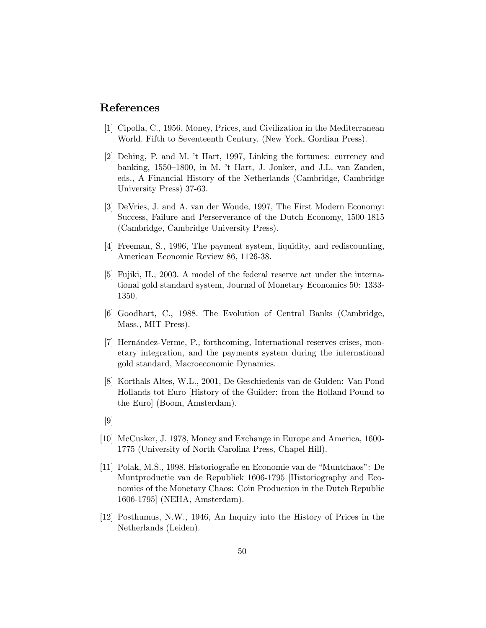# References

- [1] Cipolla, C., 1956, Money, Prices, and Civilization in the Mediterranean World. Fifth to Seventeenth Century. (New York, Gordian Press).
- [2] Dehing, P. and M. ít Hart, 1997, Linking the fortunes: currency and banking,  $1550-1800$ , in M. <sup>†</sup>t Hart, J. Jonker, and J.L. van Zanden, eds., A Financial History of the Netherlands (Cambridge, Cambridge University Press) 37-63.
- [3] DeVries, J. and A. van der Woude, 1997, The First Modern Economy: Success, Failure and Perserverance of the Dutch Economy, 1500-1815 (Cambridge, Cambridge University Press).
- [4] Freeman, S., 1996, The payment system, liquidity, and rediscounting, American Economic Review 86, 1126-38.
- [5] Fujiki, H., 2003. A model of the federal reserve act under the international gold standard system, Journal of Monetary Economics 50: 1333- 1350.
- [6] Goodhart, C., 1988. The Evolution of Central Banks (Cambridge, Mass., MIT Press).
- [7] Hernández-Verme, P., forthcoming, International reserves crises, monetary integration, and the payments system during the international gold standard, Macroeconomic Dynamics.
- [8] Korthals Altes, W.L., 2001, De Geschiedenis van de Gulden: Van Pond Hollands tot Euro [History of the Guilder: from the Holland Pound to the Euro] (Boom, Amsterdam).
- [9]
- [10] McCusker, J. 1978, Money and Exchange in Europe and America, 1600- 1775 (University of North Carolina Press, Chapel Hill).
- [11] Polak, M.S., 1998. Historiografie en Economie van de "Muntchaos": De Muntproductie van de Republiek 1606-1795 [Historiography and Economics of the Monetary Chaos: Coin Production in the Dutch Republic 1606-1795] (NEHA, Amsterdam).
- [12] Posthumus, N.W., 1946, An Inquiry into the History of Prices in the Netherlands (Leiden).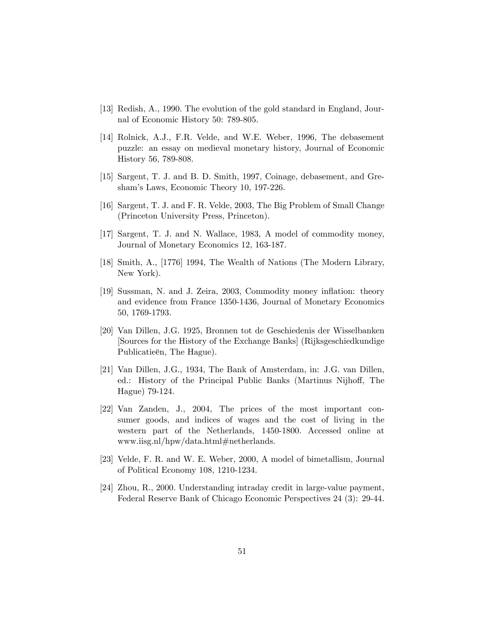- [13] Redish, A., 1990. The evolution of the gold standard in England, Journal of Economic History 50: 789-805.
- [14] Rolnick, A.J., F.R. Velde, and W.E. Weber, 1996, The debasement puzzle: an essay on medieval monetary history, Journal of Economic History 56, 789-808.
- [15] Sargent, T. J. and B. D. Smith, 1997, Coinage, debasement, and Greshamís Laws, Economic Theory 10, 197-226.
- [16] Sargent, T. J. and F. R. Velde, 2003, The Big Problem of Small Change (Princeton University Press, Princeton).
- [17] Sargent, T. J. and N. Wallace, 1983, A model of commodity money, Journal of Monetary Economics 12, 163-187.
- [18] Smith, A., [1776] 1994, The Wealth of Nations (The Modern Library, New York).
- [19] Sussman, N. and J. Zeira, 2003, Commodity money ináation: theory and evidence from France 1350-1436, Journal of Monetary Economics 50, 1769-1793.
- [20] Van Dillen, J.G. 1925, Bronnen tot de Geschiedenis der Wisselbanken [Sources for the History of the Exchange Banks] (Rijksgeschiedkundige Publicatieën, The Hague).
- [21] Van Dillen, J.G., 1934, The Bank of Amsterdam, in: J.G. van Dillen, ed.: History of the Principal Public Banks (Martinus Nijhoff, The Hague) 79-124.
- [22] Van Zanden, J., 2004, The prices of the most important consumer goods, and indices of wages and the cost of living in the western part of the Netherlands, 1450-1800. Accessed online at www.iisg.nl/hpw/data.html#netherlands.
- [23] Velde, F. R. and W. E. Weber, 2000, A model of bimetallism, Journal of Political Economy 108, 1210-1234.
- [24] Zhou, R., 2000. Understanding intraday credit in large-value payment, Federal Reserve Bank of Chicago Economic Perspectives 24 (3): 29-44.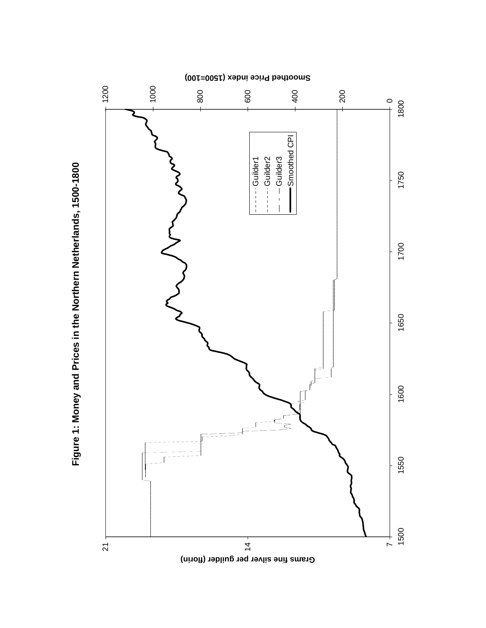

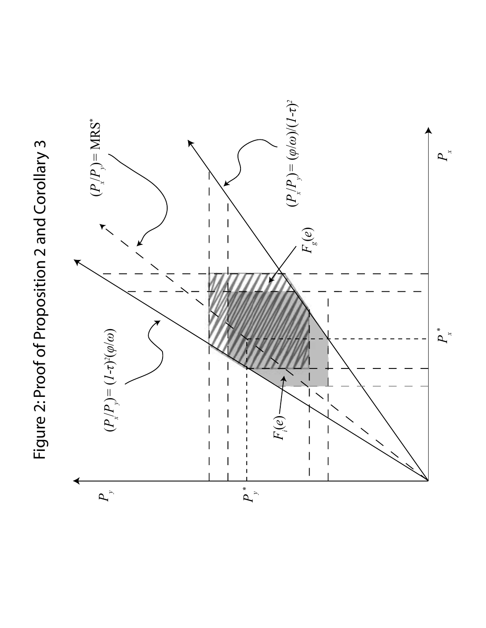